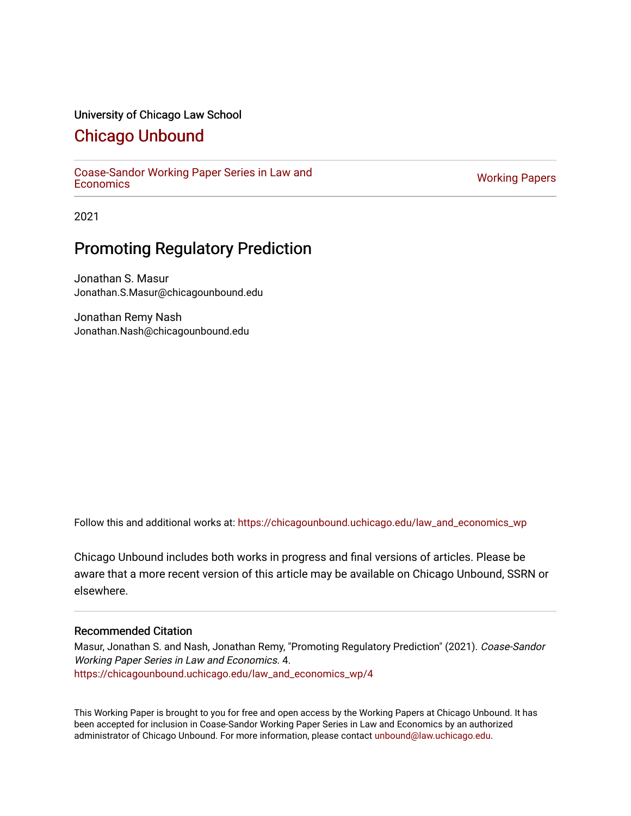#### University of Chicago Law School

### [Chicago Unbound](https://chicagounbound.uchicago.edu/)

[Coase-Sandor Working Paper Series in Law and](https://chicagounbound.uchicago.edu/law_and_economics_wp) [Economics](https://chicagounbound.uchicago.edu/law_and_economics_wp) [Working Papers](https://chicagounbound.uchicago.edu/working_papers) 

2021

## Promoting Regulatory Prediction

Jonathan S. Masur Jonathan.S.Masur@chicagounbound.edu

Jonathan Remy Nash Jonathan.Nash@chicagounbound.edu

Follow this and additional works at: [https://chicagounbound.uchicago.edu/law\\_and\\_economics\\_wp](https://chicagounbound.uchicago.edu/law_and_economics_wp?utm_source=chicagounbound.uchicago.edu%2Flaw_and_economics_wp%2F4&utm_medium=PDF&utm_campaign=PDFCoverPages) 

Chicago Unbound includes both works in progress and final versions of articles. Please be aware that a more recent version of this article may be available on Chicago Unbound, SSRN or elsewhere.

#### Recommended Citation

Masur, Jonathan S. and Nash, Jonathan Remy, "Promoting Regulatory Prediction" (2021). Coase-Sandor Working Paper Series in Law and Economics. 4. [https://chicagounbound.uchicago.edu/law\\_and\\_economics\\_wp/4](https://chicagounbound.uchicago.edu/law_and_economics_wp/4?utm_source=chicagounbound.uchicago.edu%2Flaw_and_economics_wp%2F4&utm_medium=PDF&utm_campaign=PDFCoverPages)

This Working Paper is brought to you for free and open access by the Working Papers at Chicago Unbound. It has been accepted for inclusion in Coase-Sandor Working Paper Series in Law and Economics by an authorized administrator of Chicago Unbound. For more information, please contact [unbound@law.uchicago.edu](mailto:unbound@law.uchicago.edu).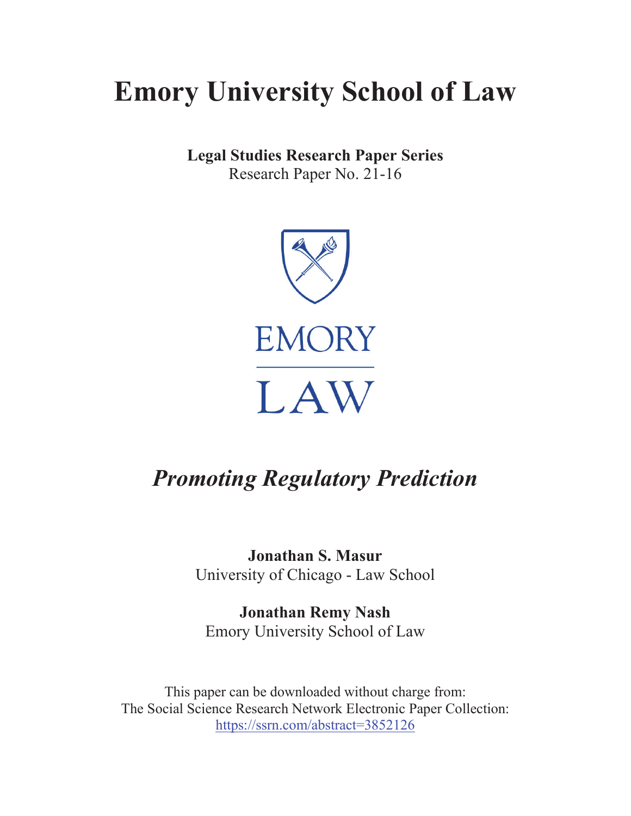# **Emory University School of Law**

**Legal Studies Research Paper Series** Research Paper No. 21-16



## *Promoting Regulatory Prediction*

**Jonathan S. Masur** University of Chicago - Law School

**Jonathan Remy Nash** Emory University School of Law

This paper can be downloaded without charge from: The Social Science Research Network Electronic Paper Collection: https://ssrn.com/abstract=3852126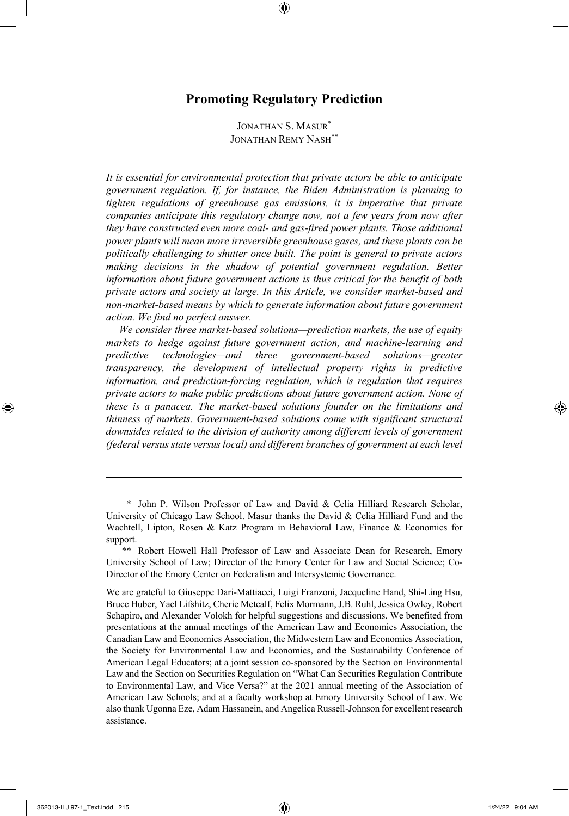#### **Promoting Regulatory Prediction**

JONATHAN S. MASUR\* JONATHAN REMY NASH\*\*

*It is essential for environmental protection that private actors be able to anticipate government regulation. If, for instance, the Biden Administration is planning to tighten regulations of greenhouse gas emissions, it is imperative that private companies anticipate this regulatory change now, not a few years from now after they have constructed even more coal- and gas-fired power plants. Those additional power plants will mean more irreversible greenhouse gases, and these plants can be politically challenging to shutter once built. The point is general to private actors making decisions in the shadow of potential government regulation. Better information about future government actions is thus critical for the benefit of both private actors and society at large. In this Article, we consider market-based and non-market-based means by which to generate information about future government action. We find no perfect answer.* 

*We consider three market-based solutions—prediction markets, the use of equity markets to hedge against future government action, and machine-learning and predictive technologies—and three government-based solutions—greater transparency, the development of intellectual property rights in predictive information, and prediction-forcing regulation, which is regulation that requires private actors to make public predictions about future government action. None of these is a panacea. The market-based solutions founder on the limitations and thinness of markets. Government-based solutions come with significant structural downsides related to the division of authority among different levels of government (federal versus state versus local) and different branches of government at each level* 

<sup>\*</sup> John P. Wilson Professor of Law and David & Celia Hilliard Research Scholar, University of Chicago Law School. Masur thanks the David & Celia Hilliard Fund and the Wachtell, Lipton, Rosen & Katz Program in Behavioral Law, Finance & Economics for support.

<sup>\*\*</sup> Robert Howell Hall Professor of Law and Associate Dean for Research, Emory University School of Law; Director of the Emory Center for Law and Social Science; Co-Director of the Emory Center on Federalism and Intersystemic Governance.

We are grateful to Giuseppe Dari-Mattiacci, Luigi Franzoni, Jacqueline Hand, Shi-Ling Hsu, Bruce Huber, Yael Lifshitz, Cherie Metcalf, Felix Mormann, J.B. Ruhl, Jessica Owley, Robert Schapiro, and Alexander Volokh for helpful suggestions and discussions. We benefited from presentations at the annual meetings of the American Law and Economics Association, the Canadian Law and Economics Association, the Midwestern Law and Economics Association, the Society for Environmental Law and Economics, and the Sustainability Conference of American Legal Educators; at a joint session co-sponsored by the Section on Environmental Law and the Section on Securities Regulation on "What Can Securities Regulation Contribute to Environmental Law, and Vice Versa?" at the 2021 annual meeting of the Association of American Law Schools; and at a faculty workshop at Emory University School of Law. We also thank Ugonna Eze, Adam Hassanein, and Angelica Russell-Johnson for excellent research assistance.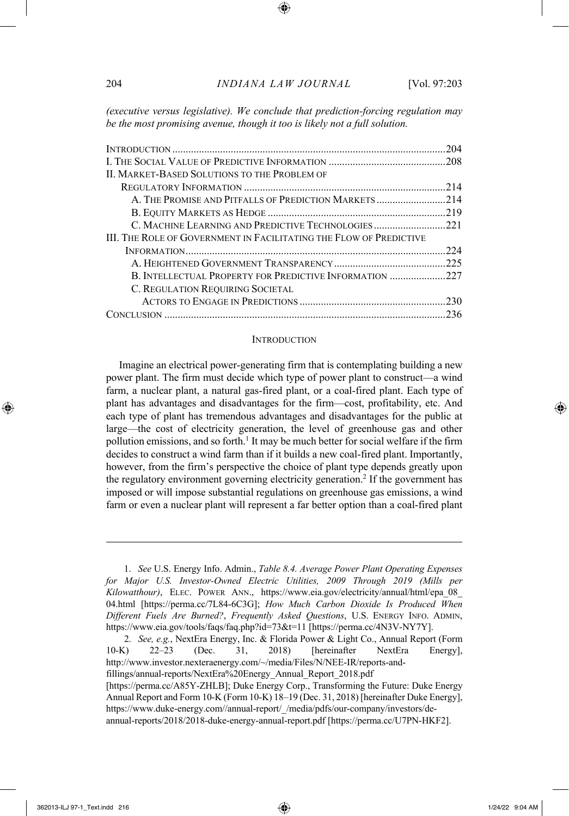*(executive versus legislative). We conclude that prediction-forcing regulation may be the most promising avenue, though it too is likely not a full solution.*

| <b>II. MARKET-BASED SOLUTIONS TO THE PROBLEM OF</b><br>A. THE PROMISE AND PITFALLS OF PREDICTION MARKETS 214<br>III. The Role of Government in Facilitating the Flow of Predictive<br>B. INTELLECTUAL PROPERTY FOR PREDICTIVE INFORMATION 227<br>C. REGULATION REQUIRING SOCIETAL | 204 |
|-----------------------------------------------------------------------------------------------------------------------------------------------------------------------------------------------------------------------------------------------------------------------------------|-----|
|                                                                                                                                                                                                                                                                                   |     |
|                                                                                                                                                                                                                                                                                   |     |
|                                                                                                                                                                                                                                                                                   | 214 |
|                                                                                                                                                                                                                                                                                   |     |
|                                                                                                                                                                                                                                                                                   |     |
|                                                                                                                                                                                                                                                                                   |     |
|                                                                                                                                                                                                                                                                                   |     |
|                                                                                                                                                                                                                                                                                   | 224 |
|                                                                                                                                                                                                                                                                                   |     |
|                                                                                                                                                                                                                                                                                   |     |
|                                                                                                                                                                                                                                                                                   |     |
|                                                                                                                                                                                                                                                                                   |     |
|                                                                                                                                                                                                                                                                                   |     |

#### **INTRODUCTION**

Imagine an electrical power-generating firm that is contemplating building a new power plant. The firm must decide which type of power plant to construct—a wind farm, a nuclear plant, a natural gas-fired plant, or a coal-fired plant. Each type of plant has advantages and disadvantages for the firm—cost, profitability, etc. And each type of plant has tremendous advantages and disadvantages for the public at large—the cost of electricity generation, the level of greenhouse gas and other pollution emissions, and so forth.<sup>1</sup> It may be much better for social welfare if the firm decides to construct a wind farm than if it builds a new coal-fired plant. Importantly, however, from the firm's perspective the choice of plant type depends greatly upon the regulatory environment governing electricity generation.<sup>2</sup> If the government has imposed or will impose substantial regulations on greenhouse gas emissions, a wind farm or even a nuclear plant will represent a far better option than a coal-fired plant

<sup>1.</sup> *See* U.S. Energy Info. Admin., *Table 8.4. Average Power Plant Operating Expenses for Major U.S. Investor-Owned Electric Utilities, 2009 Through 2019 (Mills per Kilowatthour)*, ELEC. POWER ANN., https://www.eia.gov/electricity/annual/html/epa\_08\_ 04.html [https://perma.cc/7L84-6C3G]; *How Much Carbon Dioxide Is Produced When Different Fuels Are Burned?*, *Frequently Asked Questions*, U.S. ENERGY INFO. ADMIN, https://www.eia.gov/tools/faqs/faq.php?id=73&t=11 [https://perma.cc/4N3V-NY7Y].

<sup>2.</sup> *See, e.g.*, NextEra Energy, Inc. & Florida Power & Light Co., Annual Report (Form 10-K) 22–23 (Dec. 31, 2018) [hereinafter NextEra Energy], http://www.investor.nexteraenergy.com/~/media/Files/N/NEE-IR/reports-andfillings/annual-reports/NextEra%20Energy\_Annual\_Report\_2018.pdf

<sup>[</sup>https://perma.cc/A85Y-ZHLB]; Duke Energy Corp., Transforming the Future: Duke Energy Annual Report and Form 10-K (Form 10-K) 18–19 (Dec. 31, 2018) [hereinafter Duke Energy], https://www.duke-energy.com//annual-report/\_/media/pdfs/our-company/investors/deannual-reports/2018/2018-duke-energy-annual-report.pdf [https://perma.cc/U7PN-HKF2].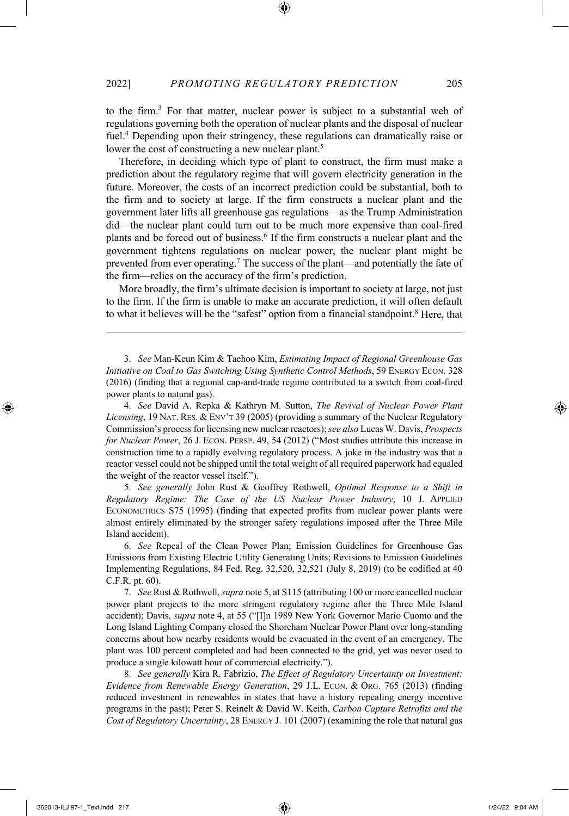to the firm.3 For that matter, nuclear power is subject to a substantial web of regulations governing both the operation of nuclear plants and the disposal of nuclear fuel.<sup>4</sup> Depending upon their stringency, these regulations can dramatically raise or lower the cost of constructing a new nuclear plant.<sup>5</sup>

Therefore, in deciding which type of plant to construct, the firm must make a prediction about the regulatory regime that will govern electricity generation in the future. Moreover, the costs of an incorrect prediction could be substantial, both to the firm and to society at large. If the firm constructs a nuclear plant and the government later lifts all greenhouse gas regulations—as the Trump Administration did—the nuclear plant could turn out to be much more expensive than coal-fired plants and be forced out of business.6 If the firm constructs a nuclear plant and the government tightens regulations on nuclear power, the nuclear plant might be prevented from ever operating.7 The success of the plant—and potentially the fate of the firm—relies on the accuracy of the firm's prediction.

More broadly, the firm's ultimate decision is important to society at large, not just to the firm. If the firm is unable to make an accurate prediction, it will often default to what it believes will be the "safest" option from a financial standpoint.<sup>8</sup> Here, that

3. *See* Man-Keun Kim & Taehoo Kim, *Estimating Impact of Regional Greenhouse Gas Initiative on Coal to Gas Switching Using Synthetic Control Methods*, 59 ENERGY ECON. 328 (2016) (finding that a regional cap-and-trade regime contributed to a switch from coal-fired power plants to natural gas).

4. *See* David A. Repka & Kathryn M. Sutton, *The Revival of Nuclear Power Plant Licensing*, 19 NAT. RES. & ENV'T 39 (2005) (providing a summary of the Nuclear Regulatory Commission's process for licensing new nuclear reactors); *see also* Lucas W. Davis, *Prospects for Nuclear Power*, 26 J. ECON. PERSP. 49, 54 (2012) ("Most studies attribute this increase in construction time to a rapidly evolving regulatory process. A joke in the industry was that a reactor vessel could not be shipped until the total weight of all required paperwork had equaled the weight of the reactor vessel itself.").

5. *See generally* John Rust & Geoffrey Rothwell, *Optimal Response to a Shift in Regulatory Regime: The Case of the US Nuclear Power Industry*, 10 J. APPLIED ECONOMETRICS S75 (1995) (finding that expected profits from nuclear power plants were almost entirely eliminated by the stronger safety regulations imposed after the Three Mile Island accident).

6. *See* Repeal of the Clean Power Plan; Emission Guidelines for Greenhouse Gas Emissions from Existing Electric Utility Generating Units; Revisions to Emission Guidelines Implementing Regulations, 84 Fed. Reg. 32,520, 32,521 (July 8, 2019) (to be codified at 40 C.F.R. pt. 60).

7. *See* Rust & Rothwell, *supra* note 5, at S115 (attributing 100 or more cancelled nuclear power plant projects to the more stringent regulatory regime after the Three Mile Island accident); Davis, *supra* note 4, at 55 ("[I]n 1989 New York Governor Mario Cuomo and the Long Island Lighting Company closed the Shoreham Nuclear Power Plant over long-standing concerns about how nearby residents would be evacuated in the event of an emergency. The plant was 100 percent completed and had been connected to the grid, yet was never used to produce a single kilowatt hour of commercial electricity.").

8. *See generally* Kira R. Fabrizio, *The Effect of Regulatory Uncertainty on Investment: Evidence from Renewable Energy Generation*, 29 J.L. ECON. & ORG. 765 (2013) (finding reduced investment in renewables in states that have a history repealing energy incentive programs in the past); Peter S. Reinelt & David W. Keith, *Carbon Capture Retrofits and the Cost of Regulatory Uncertainty*, 28 ENERGY J. 101 (2007) (examining the role that natural gas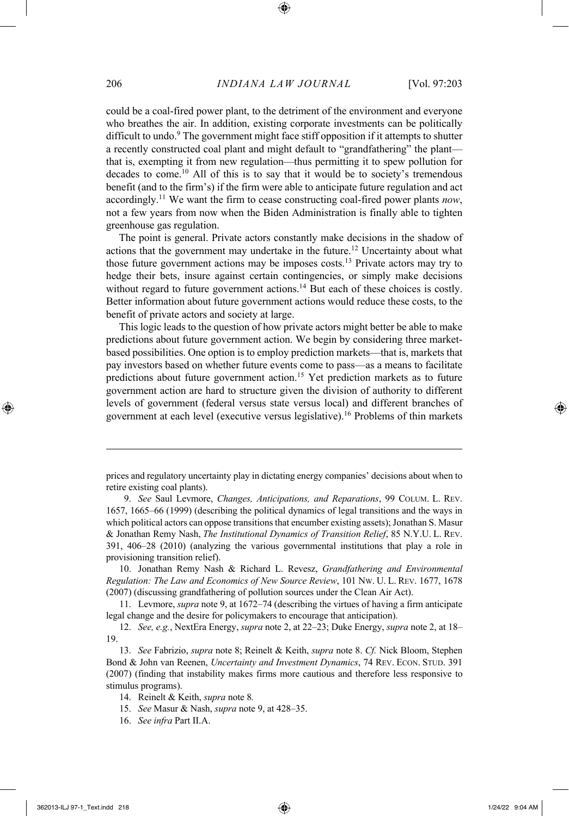could be a coal-fired power plant, to the detriment of the environment and everyone who breathes the air. In addition, existing corporate investments can be politically difficult to undo.<sup>9</sup> The government might face stiff opposition if it attempts to shutter a recently constructed coal plant and might default to "grandfathering" the plant that is, exempting it from new regulation—thus permitting it to spew pollution for decades to come.<sup>10</sup> All of this is to say that it would be to society's tremendous benefit (and to the firm's) if the firm were able to anticipate future regulation and act accordingly.11 We want the firm to cease constructing coal-fired power plants *now*, not a few years from now when the Biden Administration is finally able to tighten greenhouse gas regulation.

The point is general. Private actors constantly make decisions in the shadow of actions that the government may undertake in the future.12 Uncertainty about what those future government actions may be imposes costs.13 Private actors may try to hedge their bets, insure against certain contingencies, or simply make decisions without regard to future government actions.<sup>14</sup> But each of these choices is costly. Better information about future government actions would reduce these costs, to the benefit of private actors and society at large.

This logic leads to the question of how private actors might better be able to make predictions about future government action. We begin by considering three marketbased possibilities. One option is to employ prediction markets—that is, markets that pay investors based on whether future events come to pass—as a means to facilitate predictions about future government action.<sup>15</sup> Yet prediction markets as to future government action are hard to structure given the division of authority to different levels of government (federal versus state versus local) and different branches of government at each level (executive versus legislative).16 Problems of thin markets

prices and regulatory uncertainty play in dictating energy companies' decisions about when to retire existing coal plants).

<sup>9.</sup> *See* Saul Levmore, *Changes, Anticipations, and Reparations*, 99 COLUM. L. REV. 1657, 1665–66 (1999) (describing the political dynamics of legal transitions and the ways in which political actors can oppose transitions that encumber existing assets); Jonathan S. Masur & Jonathan Remy Nash, *The Institutional Dynamics of Transition Relief*, 85 N.Y.U. L. REV. 391, 406–28 (2010) (analyzing the various governmental institutions that play a role in provisioning transition relief).

<sup>10.</sup> Jonathan Remy Nash & Richard L. Revesz, *Grandfathering and Environmental Regulation: The Law and Economics of New Source Review*, 101 NW. U. L. REV. 1677, 1678 (2007) (discussing grandfathering of pollution sources under the Clean Air Act).

<sup>11.</sup> Levmore, *supra* note 9, at 1672–74 (describing the virtues of having a firm anticipate legal change and the desire for policymakers to encourage that anticipation).

<sup>12.</sup> *See, e.g.*, NextEra Energy, *supra* note 2, at 22–23; Duke Energy, *supra* note 2, at 18– 19.

<sup>13.</sup> *See* Fabrizio, *supra* note 8; Reinelt & Keith, *supra* note 8. *Cf.* Nick Bloom, Stephen Bond & John van Reenen, *Uncertainty and Investment Dynamics*, 74 REV. ECON. STUD. 391 (2007) (finding that instability makes firms more cautious and therefore less responsive to stimulus programs).

<sup>14.</sup> Reinelt & Keith, *supra* note 8*.*

<sup>15.</sup> *See* Masur & Nash, *supra* note 9, at 428–35.

<sup>16.</sup> *See infra* Part II.A.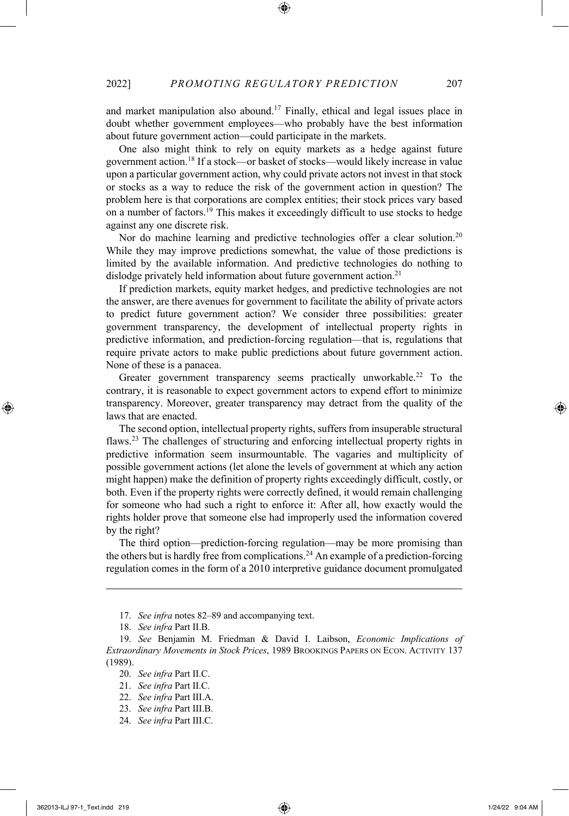and market manipulation also abound. <sup>17</sup> Finally, ethical and legal issues place in doubt whether government employees—who probably have the best information about future government action—could participate in the markets.

One also might think to rely on equity markets as a hedge against future government action.18 If a stock—or basket of stocks—would likely increase in value upon a particular government action, why could private actors not invest in that stock or stocks as a way to reduce the risk of the government action in question? The problem here is that corporations are complex entities; their stock prices vary based on a number of factors.19 This makes it exceedingly difficult to use stocks to hedge against any one discrete risk.

Nor do machine learning and predictive technologies offer a clear solution.<sup>20</sup> While they may improve predictions somewhat, the value of those predictions is limited by the available information. And predictive technologies do nothing to dislodge privately held information about future government action.<sup>21</sup>

If prediction markets, equity market hedges, and predictive technologies are not the answer, are there avenues for government to facilitate the ability of private actors to predict future government action? We consider three possibilities: greater government transparency, the development of intellectual property rights in predictive information, and prediction-forcing regulation—that is, regulations that require private actors to make public predictions about future government action. None of these is a panacea.

Greater government transparency seems practically unworkable.<sup>22</sup> To the contrary, it is reasonable to expect government actors to expend effort to minimize transparency. Moreover, greater transparency may detract from the quality of the laws that are enacted.

The second option, intellectual property rights, suffers from insuperable structural flaws.23 The challenges of structuring and enforcing intellectual property rights in predictive information seem insurmountable. The vagaries and multiplicity of possible government actions (let alone the levels of government at which any action might happen) make the definition of property rights exceedingly difficult, costly, or both. Even if the property rights were correctly defined, it would remain challenging for someone who had such a right to enforce it: After all, how exactly would the rights holder prove that someone else had improperly used the information covered by the right?

The third option—prediction-forcing regulation—may be more promising than the others but is hardly free from complications.<sup>24</sup> An example of a prediction-forcing regulation comes in the form of a 2010 interpretive guidance document promulgated

24. *See infra* Part III.C.

<sup>17.</sup> *See infra* notes 82–89 and accompanying text.

<sup>18.</sup> *See infra* Part II.B.

<sup>19.</sup> *See* Benjamin M. Friedman & David I. Laibson, *Economic Implications of Extraordinary Movements in Stock Prices*, 1989 BROOKINGS PAPERS ON ECON. ACTIVITY 137 (1989).

<sup>20.</sup> *See infra* Part II.C.

<sup>21.</sup> *See infra* Part II.C.

<sup>22.</sup> *See infra* Part III.A.

<sup>23.</sup> *See infra* Part III.B.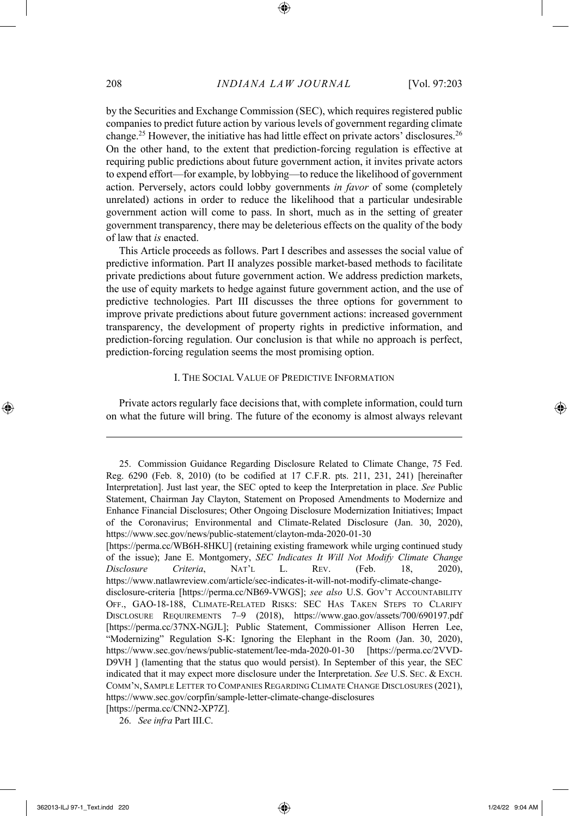by the Securities and Exchange Commission (SEC), which requires registered public companies to predict future action by various levels of government regarding climate change.25 However, the initiative has had little effect on private actors' disclosures.26 On the other hand, to the extent that prediction-forcing regulation is effective at requiring public predictions about future government action, it invites private actors to expend effort—for example, by lobbying—to reduce the likelihood of government action. Perversely, actors could lobby governments *in favor* of some (completely unrelated) actions in order to reduce the likelihood that a particular undesirable government action will come to pass. In short, much as in the setting of greater government transparency, there may be deleterious effects on the quality of the body of law that *is* enacted.

This Article proceeds as follows. Part I describes and assesses the social value of predictive information. Part II analyzes possible market-based methods to facilitate private predictions about future government action. We address prediction markets, the use of equity markets to hedge against future government action, and the use of predictive technologies. Part III discusses the three options for government to improve private predictions about future government actions: increased government transparency, the development of property rights in predictive information, and prediction-forcing regulation. Our conclusion is that while no approach is perfect, prediction-forcing regulation seems the most promising option.

#### I. THE SOCIAL VALUE OF PREDICTIVE INFORMATION

Private actors regularly face decisions that, with complete information, could turn on what the future will bring. The future of the economy is almost always relevant

<sup>25.</sup> Commission Guidance Regarding Disclosure Related to Climate Change, 75 Fed. Reg. 6290 (Feb. 8, 2010) (to be codified at 17 C.F.R. pts. 211, 231, 241) [hereinafter Interpretation]. Just last year, the SEC opted to keep the Interpretation in place. *See* Public Statement, Chairman Jay Clayton, Statement on Proposed Amendments to Modernize and Enhance Financial Disclosures; Other Ongoing Disclosure Modernization Initiatives; Impact of the Coronavirus; Environmental and Climate-Related Disclosure (Jan. 30, 2020), https://www.sec.gov/news/public-statement/clayton-mda-2020-01-30

<sup>[</sup>https://perma.cc/WB6H-8HKU] (retaining existing framework while urging continued study of the issue); Jane E. Montgomery, *SEC Indicates It Will Not Modify Climate Change Disclosure Criteria*, NAT'L L. REV. (Feb. 18, 2020), https://www.natlawreview.com/article/sec-indicates-it-will-not-modify-climate-changedisclosure-criteria [https://perma.cc/NB69-VWGS]; *see also* U.S. GOV'T ACCOUNTABILITY OFF., GAO-18-188, CLIMATE-RELATED RISKS: SEC HAS TAKEN STEPS TO CLARIFY DISCLOSURE REQUIREMENTS 7–9 (2018), https://www.gao.gov/assets/700/690197.pdf [https://perma.cc/37NX-NGJL]; Public Statement, Commissioner Allison Herren Lee, "Modernizing" Regulation S-K: Ignoring the Elephant in the Room (Jan. 30, 2020), https://www.sec.gov/news/public-statement/lee-mda-2020-01-30 [https://perma.cc/2VVD-D9VH ] (lamenting that the status quo would persist). In September of this year, the SEC indicated that it may expect more disclosure under the Interpretation. *See* U.S. SEC. & EXCH. COMM'N, SAMPLE LETTER TO COMPANIES REGARDING CLIMATE CHANGE DISCLOSURES (2021), https://www.sec.gov/corpfin/sample-letter-climate-change-disclosures

<sup>[</sup>https://perma.cc/CNN2-XP7Z].

<sup>26.</sup> *See infra* Part III.C.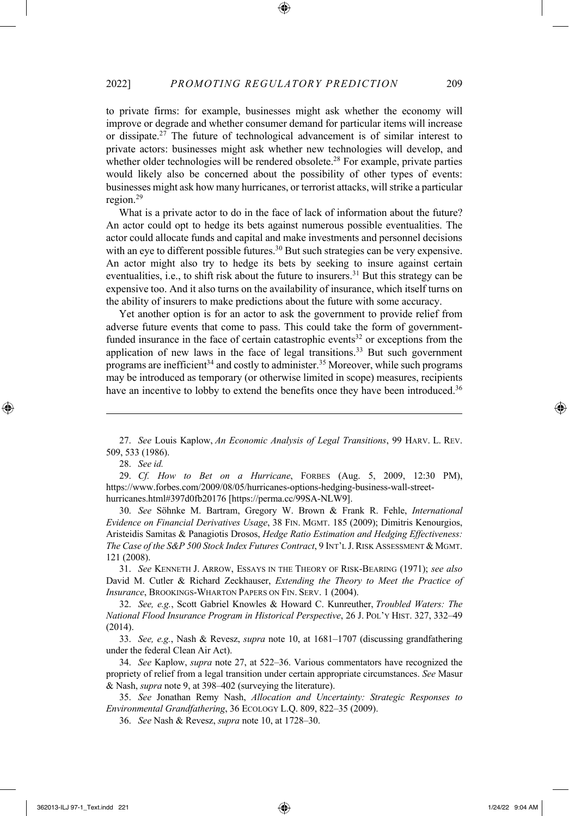to private firms: for example, businesses might ask whether the economy will improve or degrade and whether consumer demand for particular items will increase or dissipate.27 The future of technological advancement is of similar interest to private actors: businesses might ask whether new technologies will develop, and whether older technologies will be rendered obsolete.<sup>28</sup> For example, private parties would likely also be concerned about the possibility of other types of events: businesses might ask how many hurricanes, or terrorist attacks, will strike a particular region.29

What is a private actor to do in the face of lack of information about the future? An actor could opt to hedge its bets against numerous possible eventualities. The actor could allocate funds and capital and make investments and personnel decisions with an eye to different possible futures.<sup>30</sup> But such strategies can be very expensive. An actor might also try to hedge its bets by seeking to insure against certain eventualities, i.e., to shift risk about the future to insurers.<sup>31</sup> But this strategy can be expensive too. And it also turns on the availability of insurance, which itself turns on the ability of insurers to make predictions about the future with some accuracy.

Yet another option is for an actor to ask the government to provide relief from adverse future events that come to pass. This could take the form of governmentfunded insurance in the face of certain catastrophic events<sup>32</sup> or exceptions from the application of new laws in the face of legal transitions.<sup>33</sup> But such government programs are inefficient<sup>34</sup> and costly to administer.<sup>35</sup> Moreover, while such programs may be introduced as temporary (or otherwise limited in scope) measures, recipients have an incentive to lobby to extend the benefits once they have been introduced.<sup>36</sup>

30. *See* Söhnke M. Bartram, Gregory W. Brown & Frank R. Fehle, *International Evidence on Financial Derivatives Usage*, 38 FIN. MGMT. 185 (2009); Dimitris Kenourgios, Aristeidis Samitas & Panagiotis Drosos, *Hedge Ratio Estimation and Hedging Effectiveness: The Case of the S&P 500 Stock Index Futures Contract*, 9 INT'L J.RISK ASSESSMENT & MGMT. 121 (2008).

31. *See* KENNETH J. ARROW, ESSAYS IN THE THEORY OF RISK-BEARING (1971); *see also* David M. Cutler & Richard Zeckhauser, *Extending the Theory to Meet the Practice of Insurance*, BROOKINGS-WHARTON PAPERS ON FIN. SERV. 1 (2004).

32. *See, e.g.*, Scott Gabriel Knowles & Howard C. Kunreuther, *Troubled Waters: The National Flood Insurance Program in Historical Perspective*, 26 J. POL'Y HIST. 327, 332–49 (2014).

33. *See, e.g.*, Nash & Revesz, *supra* note 10, at 1681–1707 (discussing grandfathering under the federal Clean Air Act).

34. *See* Kaplow, *supra* note 27, at 522–36. Various commentators have recognized the propriety of relief from a legal transition under certain appropriate circumstances. *See* Masur & Nash, *supra* note 9, at 398–402 (surveying the literature).

35. *See* Jonathan Remy Nash, *Allocation and Uncertainty: Strategic Responses to Environmental Grandfathering*, 36 ECOLOGY L.Q. 809, 822–35 (2009).

<sup>27.</sup> *See* Louis Kaplow, *An Economic Analysis of Legal Transitions*, 99 HARV. L. REV. 509, 533 (1986).

<sup>28.</sup> *See id.*

<sup>29.</sup> *Cf. How to Bet on a Hurricane*, FORBES (Aug. 5, 2009, 12:30 PM), https://www.forbes.com/2009/08/05/hurricanes-options-hedging-business-wall-streethurricanes.html#397d0fb20176 [https://perma.cc/99SA-NLW9].

<sup>36.</sup> *See* Nash & Revesz, *supra* note 10, at 1728–30.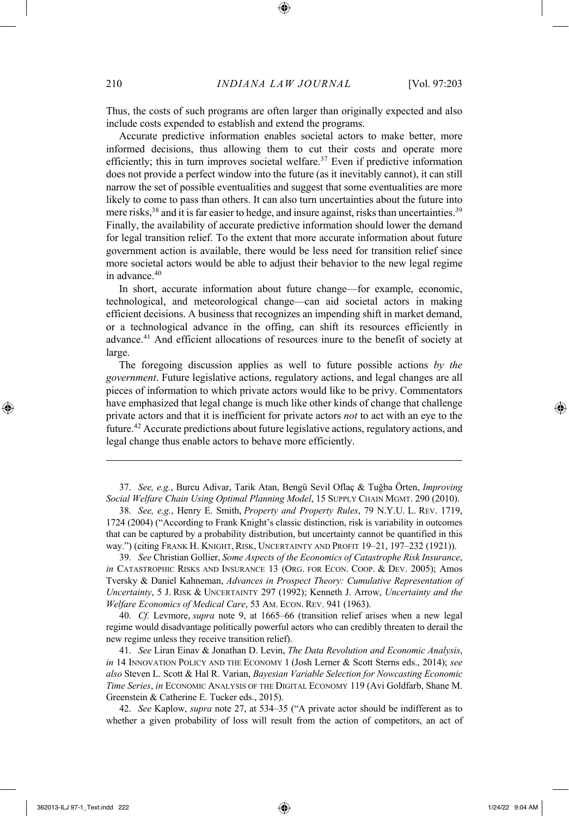Thus, the costs of such programs are often larger than originally expected and also include costs expended to establish and extend the programs.

Accurate predictive information enables societal actors to make better, more informed decisions, thus allowing them to cut their costs and operate more efficiently; this in turn improves societal welfare.<sup>37</sup> Even if predictive information does not provide a perfect window into the future (as it inevitably cannot), it can still narrow the set of possible eventualities and suggest that some eventualities are more likely to come to pass than others. It can also turn uncertainties about the future into mere risks,<sup>38</sup> and it is far easier to hedge, and insure against, risks than uncertainties.<sup>39</sup> Finally, the availability of accurate predictive information should lower the demand for legal transition relief. To the extent that more accurate information about future government action is available, there would be less need for transition relief since more societal actors would be able to adjust their behavior to the new legal regime in advance.40

In short, accurate information about future change—for example, economic, technological, and meteorological change—can aid societal actors in making efficient decisions. A business that recognizes an impending shift in market demand, or a technological advance in the offing, can shift its resources efficiently in advance.41 And efficient allocations of resources inure to the benefit of society at large.

The foregoing discussion applies as well to future possible actions *by the government*. Future legislative actions, regulatory actions, and legal changes are all pieces of information to which private actors would like to be privy. Commentators have emphasized that legal change is much like other kinds of change that challenge private actors and that it is inefficient for private actors *not* to act with an eye to the future.42 Accurate predictions about future legislative actions, regulatory actions, and legal change thus enable actors to behave more efficiently.

37. *See, e.g.*, Burcu Adivar, Tarik Atan, Bengü Sevil Oflaç & Tuğba Örten, *Improving Social Welfare Chain Using Optimal Planning Model*, 15 SUPPLY CHAIN MGMT. 290 (2010).

38. *See, e.g.*, Henry E. Smith, *Property and Property Rules*, 79 N.Y.U. L. REV. 1719, 1724 (2004) ("According to Frank Knight's classic distinction, risk is variability in outcomes that can be captured by a probability distribution, but uncertainty cannot be quantified in this way.") (citing FRANK H. KNIGHT, RISK, UNCERTAINTY AND PROFIT 19–21, 197–232 (1921)).

39. *See* Christian Gollier, *Some Aspects of the Economics of Catastrophe Risk Insurance*, *in* CATASTROPHIC RISKS AND INSURANCE 13 (ORG. FOR ECON. COOP. & DEV. 2005); Amos Tversky & Daniel Kahneman, *Advances in Prospect Theory: Cumulative Representation of Uncertainty*, 5 J. RISK & UNCERTAINTY 297 (1992); Kenneth J. Arrow, *Uncertainty and the Welfare Economics of Medical Care*, 53 AM. ECON. REV. 941 (1963).

40. *Cf.* Levmore, *supra* note 9, at 1665–66 (transition relief arises when a new legal regime would disadvantage politically powerful actors who can credibly threaten to derail the new regime unless they receive transition relief).

41. *See* Liran Einav & Jonathan D. Levin, *The Data Revolution and Economic Analysis*, *in* 14 INNOVATION POLICY AND THE ECONOMY 1 (Josh Lerner & Scott Sterns eds., 2014); *see also* Steven L. Scott & Hal R. Varian, *Bayesian Variable Selection for Nowcasting Economic Time Series*, *in* ECONOMIC ANALYSIS OF THE DIGITAL ECONOMY 119 (Avi Goldfarb, Shane M. Greenstein & Catherine E. Tucker eds., 2015).

42. *See* Kaplow, *supra* note 27, at 534–35 ("A private actor should be indifferent as to whether a given probability of loss will result from the action of competitors, an act of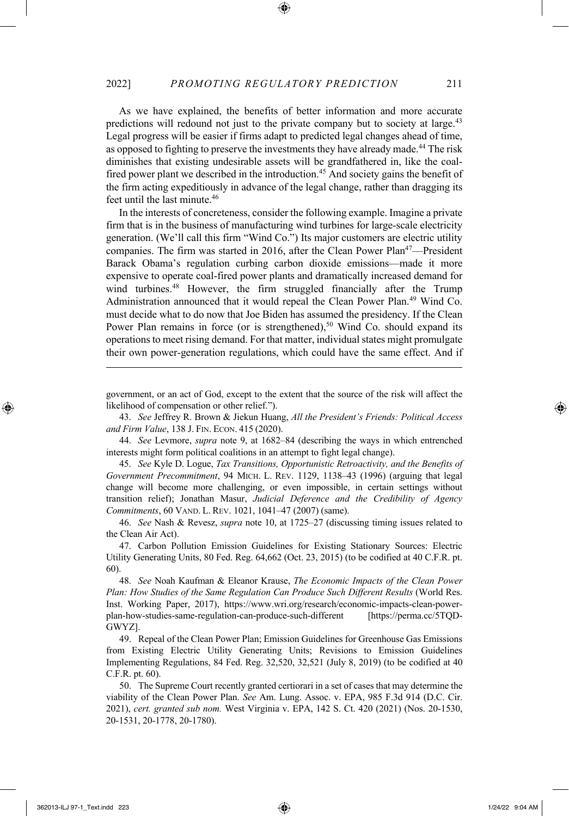As we have explained, the benefits of better information and more accurate predictions will redound not just to the private company but to society at large.<sup>43</sup> Legal progress will be easier if firms adapt to predicted legal changes ahead of time, as opposed to fighting to preserve the investments they have already made.<sup>44</sup> The risk diminishes that existing undesirable assets will be grandfathered in, like the coalfired power plant we described in the introduction.<sup>45</sup> And society gains the benefit of the firm acting expeditiously in advance of the legal change, rather than dragging its feet until the last minute.<sup>46</sup>

In the interests of concreteness, consider the following example. Imagine a private firm that is in the business of manufacturing wind turbines for large-scale electricity generation. (We'll call this firm "Wind Co.") Its major customers are electric utility companies. The firm was started in 2016, after the Clean Power Plan<sup>47</sup>—President Barack Obama's regulation curbing carbon dioxide emissions—made it more expensive to operate coal-fired power plants and dramatically increased demand for wind turbines.<sup>48</sup> However, the firm struggled financially after the Trump Administration announced that it would repeal the Clean Power Plan.49 Wind Co. must decide what to do now that Joe Biden has assumed the presidency. If the Clean Power Plan remains in force (or is strengthened),<sup>50</sup> Wind Co. should expand its operations to meet rising demand. For that matter, individual states might promulgate their own power-generation regulations, which could have the same effect. And if

government, or an act of God, except to the extent that the source of the risk will affect the likelihood of compensation or other relief.").

43. *See* Jeffrey R. Brown & Jiekun Huang, *All the President's Friends: Political Access and Firm Value*, 138 J. FIN. ECON. 415 (2020).

44. *See* Levmore, *supra* note 9, at 1682–84 (describing the ways in which entrenched interests might form political coalitions in an attempt to fight legal change).

45. *See* Kyle D. Logue, *Tax Transitions, Opportunistic Retroactivity, and the Benefits of Government Precommitment*, 94 MICH. L. REV. 1129, 1138–43 (1996) (arguing that legal change will become more challenging, or even impossible, in certain settings without transition relief); Jonathan Masur, *Judicial Deference and the Credibility of Agency Commitments*, 60 VAND. L. REV. 1021, 1041–47 (2007) (same).

46. *See* Nash & Revesz, *supra* note 10, at 1725–27 (discussing timing issues related to the Clean Air Act).

47. Carbon Pollution Emission Guidelines for Existing Stationary Sources: Electric Utility Generating Units, 80 Fed. Reg. 64,662 (Oct. 23, 2015) (to be codified at 40 C.F.R. pt. 60).

48. *See* Noah Kaufman & Eleanor Krause, *The Economic Impacts of the Clean Power Plan: How Studies of the Same Regulation Can Produce Such Different Results* (World Res. Inst. Working Paper, 2017), https://www.wri.org/research/economic-impacts-clean-powerplan-how-studies-same-regulation-can-produce-such-different [https://perma.cc/5TQD-GWYZ].

49. Repeal of the Clean Power Plan; Emission Guidelines for Greenhouse Gas Emissions from Existing Electric Utility Generating Units; Revisions to Emission Guidelines Implementing Regulations, 84 Fed. Reg. 32,520, 32,521 (July 8, 2019) (to be codified at 40 C.F.R. pt. 60).

50. The Supreme Court recently granted certiorari in a set of cases that may determine the viability of the Clean Power Plan. *See* Am. Lung. Assoc. v. EPA, 985 F.3d 914 (D.C. Cir. 2021), *cert. granted sub nom.* West Virginia v. EPA, 142 S. Ct. 420 (2021) (Nos. 20-1530, 20-1531, 20-1778, 20-1780).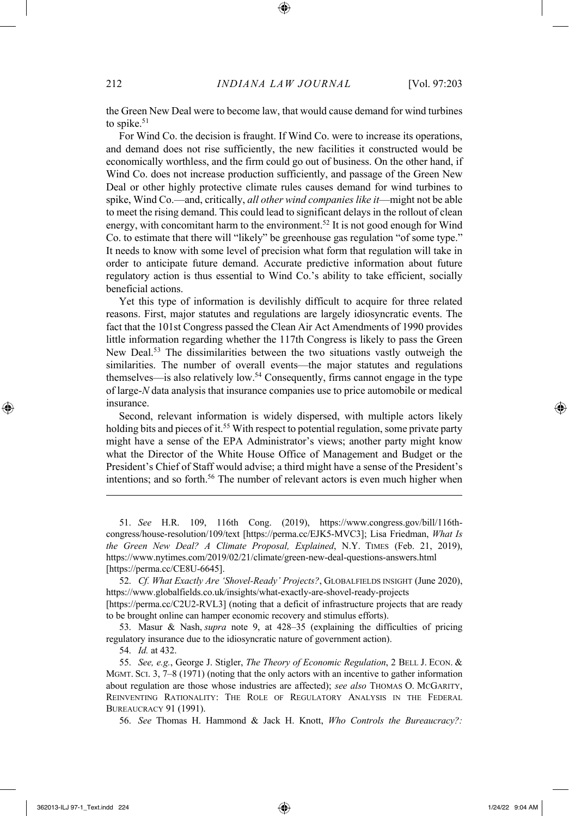the Green New Deal were to become law, that would cause demand for wind turbines to spike.<sup>51</sup>

For Wind Co. the decision is fraught. If Wind Co. were to increase its operations, and demand does not rise sufficiently, the new facilities it constructed would be economically worthless, and the firm could go out of business. On the other hand, if Wind Co. does not increase production sufficiently, and passage of the Green New Deal or other highly protective climate rules causes demand for wind turbines to spike, Wind Co.—and, critically, *all other wind companies like it*—might not be able to meet the rising demand. This could lead to significant delays in the rollout of clean energy, with concomitant harm to the environment.<sup>52</sup> It is not good enough for Wind Co. to estimate that there will "likely" be greenhouse gas regulation "of some type." It needs to know with some level of precision what form that regulation will take in order to anticipate future demand. Accurate predictive information about future regulatory action is thus essential to Wind Co.'s ability to take efficient, socially beneficial actions.

Yet this type of information is devilishly difficult to acquire for three related reasons. First, major statutes and regulations are largely idiosyncratic events. The fact that the 101st Congress passed the Clean Air Act Amendments of 1990 provides little information regarding whether the 117th Congress is likely to pass the Green New Deal.53 The dissimilarities between the two situations vastly outweigh the similarities. The number of overall events—the major statutes and regulations themselves—is also relatively low.54 Consequently, firms cannot engage in the type of large-*N* data analysis that insurance companies use to price automobile or medical insurance.

Second, relevant information is widely dispersed, with multiple actors likely holding bits and pieces of it.<sup>55</sup> With respect to potential regulation, some private party might have a sense of the EPA Administrator's views; another party might know what the Director of the White House Office of Management and Budget or the President's Chief of Staff would advise; a third might have a sense of the President's intentions; and so forth.56 The number of relevant actors is even much higher when

51. *See* H.R. 109, 116th Cong. (2019), https://www.congress.gov/bill/116thcongress/house-resolution/109/text [https://perma.cc/EJK5-MVC3]; Lisa Friedman, *What Is the Green New Deal? A Climate Proposal, Explained*, N.Y. TIMES (Feb. 21, 2019), https://www.nytimes.com/2019/02/21/climate/green-new-deal-questions-answers.html [https://perma.cc/CE8U-6645].

52. *Cf. What Exactly Are 'Shovel-Ready' Projects?*, GLOBALFIELDS INSIGHT (June 2020), https://www.globalfields.co.uk/insights/what-exactly-are-shovel-ready-projects [https://perma.cc/C2U2-RVL3] (noting that a deficit of infrastructure projects that are ready to be brought online can hamper economic recovery and stimulus efforts).

53. Masur & Nash, *supra* note 9, at 428–35 (explaining the difficulties of pricing regulatory insurance due to the idiosyncratic nature of government action).

54. *Id.* at 432.

55. *See, e.g.*, George J. Stigler, *The Theory of Economic Regulation*, 2 BELL J. ECON. & MGMT. SCI. 3, 7–8 (1971) (noting that the only actors with an incentive to gather information about regulation are those whose industries are affected); *see also* THOMAS O. MCGARITY, REINVENTING RATIONALITY: THE ROLE OF REGULATORY ANALYSIS IN THE FEDERAL BUREAUCRACY 91 (1991).

56. *See* Thomas H. Hammond & Jack H. Knott, *Who Controls the Bureaucracy?:*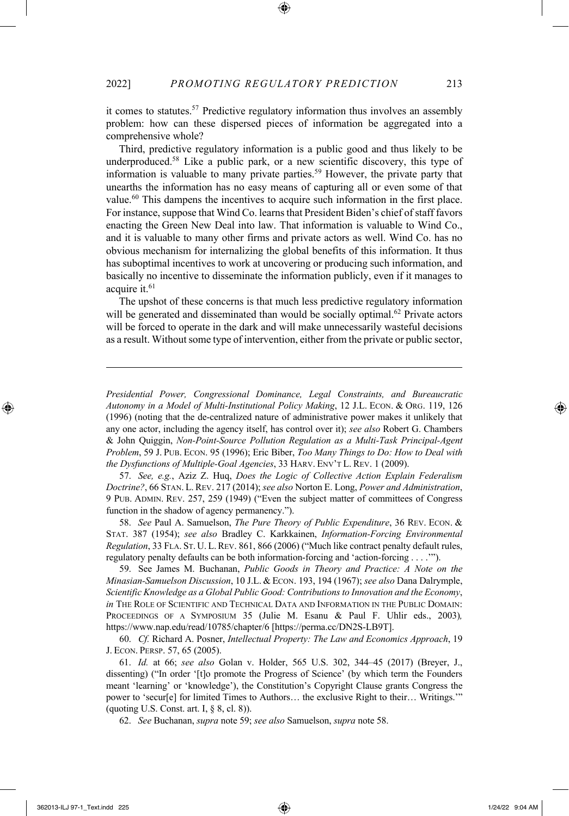it comes to statutes.57 Predictive regulatory information thus involves an assembly problem: how can these dispersed pieces of information be aggregated into a comprehensive whole?

Third, predictive regulatory information is a public good and thus likely to be underproduced.58 Like a public park, or a new scientific discovery, this type of information is valuable to many private parties.59 However, the private party that unearths the information has no easy means of capturing all or even some of that value.<sup>60</sup> This dampens the incentives to acquire such information in the first place. For instance, suppose that Wind Co. learns that President Biden's chief of staff favors enacting the Green New Deal into law. That information is valuable to Wind Co., and it is valuable to many other firms and private actors as well. Wind Co. has no obvious mechanism for internalizing the global benefits of this information. It thus has suboptimal incentives to work at uncovering or producing such information, and basically no incentive to disseminate the information publicly, even if it manages to acquire it.<sup>61</sup>

The upshot of these concerns is that much less predictive regulatory information will be generated and disseminated than would be socially optimal.<sup>62</sup> Private actors will be forced to operate in the dark and will make unnecessarily wasteful decisions as a result. Without some type of intervention, either from the private or public sector,

*Presidential Power, Congressional Dominance, Legal Constraints, and Bureaucratic Autonomy in a Model of Multi-Institutional Policy Making*, 12 J.L. ECON. & ORG. 119, 126 (1996) (noting that the de-centralized nature of administrative power makes it unlikely that any one actor, including the agency itself, has control over it); *see also* Robert G. Chambers & John Quiggin, *Non-Point-Source Pollution Regulation as a Multi-Task Principal-Agent Problem*, 59 J. PUB. ECON. 95 (1996); Eric Biber, *Too Many Things to Do: How to Deal with the Dysfunctions of Multiple-Goal Agencies*, 33 HARV. ENV'T L. REV. 1 (2009).

57. *See, e.g.*, Aziz Z. Huq, *Does the Logic of Collective Action Explain Federalism Doctrine?*, 66 STAN. L.REV. 217 (2014); *see also* Norton E. Long, *Power and Administration*, 9 PUB. ADMIN. REV. 257, 259 (1949) ("Even the subject matter of committees of Congress function in the shadow of agency permanency.").

58. *See* Paul A. Samuelson, *The Pure Theory of Public Expenditure*, 36 REV. ECON. & STAT. 387 (1954); *see also* Bradley C. Karkkainen, *Information-Forcing Environmental Regulation*, 33 FLA. ST. U. L.REV. 861, 866 (2006) ("Much like contract penalty default rules, regulatory penalty defaults can be both information-forcing and 'action-forcing . . . .'").

59. See James M. Buchanan, *Public Goods in Theory and Practice: A Note on the Minasian-Samuelson Discussion*, 10 J.L. & ECON. 193, 194 (1967); *see also* Dana Dalrymple, *Scientific Knowledge as a Global Public Good: Contributions to Innovation and the Economy*, *in* THE ROLE OF SCIENTIFIC AND TECHNICAL DATA AND INFORMATION IN THE PUBLIC DOMAIN: PROCEEDINGS OF A SYMPOSIUM 35 (Julie M. Esanu & Paul F. Uhlir eds., 2003)*,*  https://www.nap.edu/read/10785/chapter/6 [https://perma.cc/DN2S-LB9T].

60. *Cf.* Richard A. Posner, *Intellectual Property: The Law and Economics Approach*, 19 J. ECON. PERSP. 57, 65 (2005).

61. *Id.* at 66; *see also* Golan v. Holder, 565 U.S. 302, 344–45 (2017) (Breyer, J., dissenting) ("In order '[t]o promote the Progress of Science' (by which term the Founders meant 'learning' or 'knowledge'), the Constitution's Copyright Clause grants Congress the power to 'secur[e] for limited Times to Authors… the exclusive Right to their… Writings.'" (quoting U.S. Const. art. I,  $\S$  8, cl. 8)).

62. *See* Buchanan, *supra* note 59; *see also* Samuelson, *supra* note 58.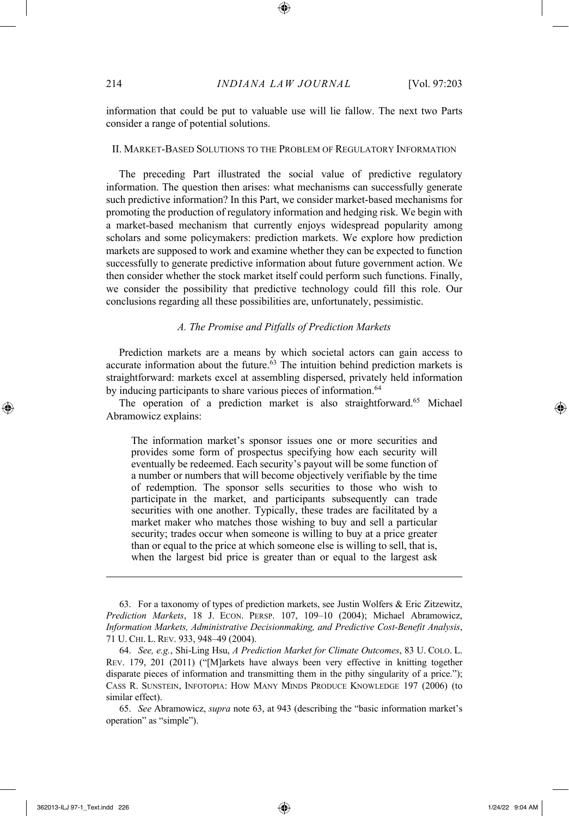information that could be put to valuable use will lie fallow. The next two Parts consider a range of potential solutions.

#### II. MARKET-BASED SOLUTIONS TO THE PROBLEM OF REGULATORY INFORMATION

The preceding Part illustrated the social value of predictive regulatory information. The question then arises: what mechanisms can successfully generate such predictive information? In this Part, we consider market-based mechanisms for promoting the production of regulatory information and hedging risk. We begin with a market-based mechanism that currently enjoys widespread popularity among scholars and some policymakers: prediction markets. We explore how prediction markets are supposed to work and examine whether they can be expected to function successfully to generate predictive information about future government action. We then consider whether the stock market itself could perform such functions. Finally, we consider the possibility that predictive technology could fill this role. Our conclusions regarding all these possibilities are, unfortunately, pessimistic.

#### *A. The Promise and Pitfalls of Prediction Markets*

Prediction markets are a means by which societal actors can gain access to accurate information about the future.<sup>63</sup> The intuition behind prediction markets is straightforward: markets excel at assembling dispersed, privately held information by inducing participants to share various pieces of information.<sup>64</sup>

The operation of a prediction market is also straightforward.<sup>65</sup> Michael Abramowicz explains:

The information market's sponsor issues one or more securities and provides some form of prospectus specifying how each security will eventually be redeemed. Each security's payout will be some function of a number or numbers that will become objectively verifiable by the time of redemption. The sponsor sells securities to those who wish to participate in the market, and participants subsequently can trade securities with one another. Typically, these trades are facilitated by a market maker who matches those wishing to buy and sell a particular security; trades occur when someone is willing to buy at a price greater than or equal to the price at which someone else is willing to sell, that is, when the largest bid price is greater than or equal to the largest ask

<sup>63.</sup> For a taxonomy of types of prediction markets, see Justin Wolfers & Eric Zitzewitz, *Prediction Markets*, 18 J. ECON. PERSP. 107, 109–10 (2004); Michael Abramowicz, *Information Markets, Administrative Decisionmaking, and Predictive Cost-Benefit Analysis*, 71 U. CHI. L. REV. 933, 948–49 (2004).

<sup>64.</sup> *See, e.g.*, Shi-Ling Hsu, *A Prediction Market for Climate Outcomes*, 83 U. COLO. L. REV. 179, 201 (2011) ("[M]arkets have always been very effective in knitting together disparate pieces of information and transmitting them in the pithy singularity of a price."); CASS R. SUNSTEIN, INFOTOPIA: HOW MANY MINDS PRODUCE KNOWLEDGE 197 (2006) (to similar effect).

<sup>65.</sup> *See* Abramowicz, *supra* note 63, at 943 (describing the "basic information market's operation" as "simple").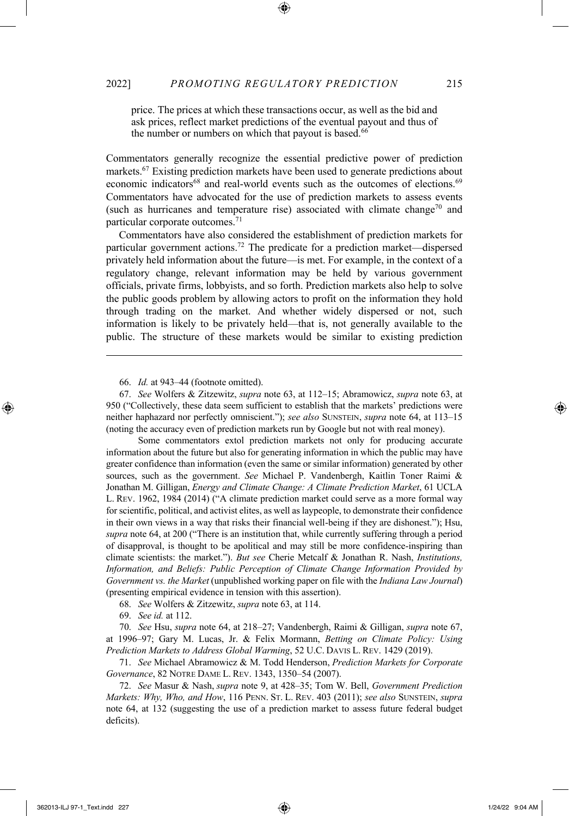price. The prices at which these transactions occur, as well as the bid and ask prices, reflect market predictions of the eventual payout and thus of the number or numbers on which that payout is based.<sup>66</sup>

Commentators generally recognize the essential predictive power of prediction markets.67 Existing prediction markets have been used to generate predictions about economic indicators<sup>68</sup> and real-world events such as the outcomes of elections.<sup>69</sup> Commentators have advocated for the use of prediction markets to assess events (such as hurricanes and temperature rise) associated with climate change<sup>70</sup> and particular corporate outcomes.71

Commentators have also considered the establishment of prediction markets for particular government actions.72 The predicate for a prediction market—dispersed privately held information about the future—is met. For example, in the context of a regulatory change, relevant information may be held by various government officials, private firms, lobbyists, and so forth. Prediction markets also help to solve the public goods problem by allowing actors to profit on the information they hold through trading on the market. And whether widely dispersed or not, such information is likely to be privately held—that is, not generally available to the public. The structure of these markets would be similar to existing prediction

Some commentators extol prediction markets not only for producing accurate information about the future but also for generating information in which the public may have greater confidence than information (even the same or similar information) generated by other sources, such as the government. *See* Michael P. Vandenbergh, Kaitlin Toner Raimi & Jonathan M. Gilligan, *Energy and Climate Change: A Climate Prediction Market*, 61 UCLA L. REV. 1962, 1984 (2014) ("A climate prediction market could serve as a more formal way for scientific, political, and activist elites, as well as laypeople, to demonstrate their confidence in their own views in a way that risks their financial well-being if they are dishonest."); Hsu, *supra* note 64, at 200 ("There is an institution that, while currently suffering through a period of disapproval, is thought to be apolitical and may still be more confidence-inspiring than climate scientists: the market."). *But see* Cherie Metcalf & Jonathan R. Nash, *Institutions, Information, and Beliefs: Public Perception of Climate Change Information Provided by Government vs. the Market* (unpublished working paper on file with the *Indiana Law Journal*) (presenting empirical evidence in tension with this assertion).

68. *See* Wolfers & Zitzewitz, *supra* note 63, at 114.

69. *See id.* at 112.

70. *See* Hsu, *supra* note 64, at 218–27; Vandenbergh, Raimi & Gilligan, *supra* note 67, at 1996–97; Gary M. Lucas, Jr. & Felix Mormann, *Betting on Climate Policy: Using Prediction Markets to Address Global Warming*, 52 U.C. DAVIS L. REV. 1429 (2019).

71. *See* Michael Abramowicz & M. Todd Henderson, *Prediction Markets for Corporate Governance*, 82 NOTRE DAME L. REV. 1343, 1350–54 (2007).

72. *See* Masur & Nash, *supra* note 9, at 428–35; Tom W. Bell, *Government Prediction Markets: Why, Who, and How*, 116 PENN. ST. L. REV. 403 (2011); *see also* SUNSTEIN, *supra* note 64, at 132 (suggesting the use of a prediction market to assess future federal budget deficits).

<sup>66.</sup> *Id.* at 943–44 (footnote omitted).

<sup>67.</sup> *See* Wolfers & Zitzewitz, *supra* note 63, at 112–15; Abramowicz, *supra* note 63, at 950 ("Collectively, these data seem sufficient to establish that the markets' predictions were neither haphazard nor perfectly omniscient."); *see also* SUNSTEIN, *supra* note 64, at 113–15 (noting the accuracy even of prediction markets run by Google but not with real money).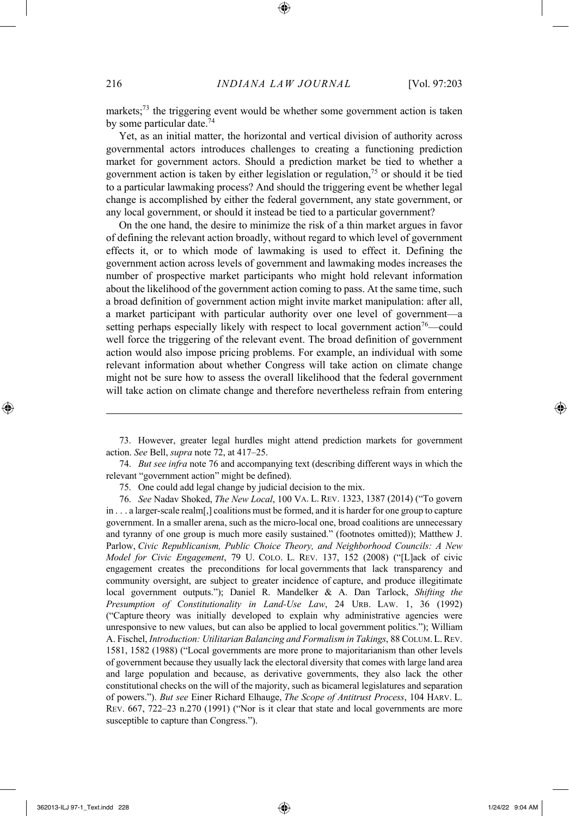markets;<sup>73</sup> the triggering event would be whether some government action is taken by some particular date.<sup>74</sup>

Yet, as an initial matter, the horizontal and vertical division of authority across governmental actors introduces challenges to creating a functioning prediction market for government actors. Should a prediction market be tied to whether a government action is taken by either legislation or regulation,75 or should it be tied to a particular lawmaking process? And should the triggering event be whether legal change is accomplished by either the federal government, any state government, or any local government, or should it instead be tied to a particular government?

On the one hand, the desire to minimize the risk of a thin market argues in favor of defining the relevant action broadly, without regard to which level of government effects it, or to which mode of lawmaking is used to effect it. Defining the government action across levels of government and lawmaking modes increases the number of prospective market participants who might hold relevant information about the likelihood of the government action coming to pass. At the same time, such a broad definition of government action might invite market manipulation: after all, a market participant with particular authority over one level of government—a setting perhaps especially likely with respect to local government action<sup>76</sup>—could well force the triggering of the relevant event. The broad definition of government action would also impose pricing problems. For example, an individual with some relevant information about whether Congress will take action on climate change might not be sure how to assess the overall likelihood that the federal government will take action on climate change and therefore nevertheless refrain from entering

<sup>73.</sup> However, greater legal hurdles might attend prediction markets for government action. *See* Bell, *supra* note 72, at 417–25.

<sup>74.</sup> *But see infra* note 76 and accompanying text (describing different ways in which the relevant "government action" might be defined).

<sup>75.</sup> One could add legal change by judicial decision to the mix.

<sup>76.</sup> *See* Nadav Shoked, *The New Local*, 100 VA. L. REV. 1323, 1387 (2014) ("To govern in . . . a larger-scale realm[,] coalitions must be formed, and it is harder for one group to capture government. In a smaller arena, such as the micro-local one, broad coalitions are unnecessary and tyranny of one group is much more easily sustained." (footnotes omitted)); Matthew J. Parlow, *Civic Republicanism, Public Choice Theory, and Neighborhood Councils: A New Model for Civic Engagement*, 79 U. COLO. L. REV. 137, 152 (2008) ("[L]ack of civic engagement creates the preconditions for local governments that lack transparency and community oversight, are subject to greater incidence of capture, and produce illegitimate local government outputs."); Daniel R. Mandelker & A. Dan Tarlock, *Shifting the Presumption of Constitutionality in Land-Use Law*, 24 URB. LAW. 1, 36 (1992) ("Capture theory was initially developed to explain why administrative agencies were unresponsive to new values, but can also be applied to local government politics."); William A. Fischel, *Introduction: Utilitarian Balancing and Formalism in Takings*, 88 COLUM. L.REV. 1581, 1582 (1988) ("Local governments are more prone to majoritarianism than other levels of government because they usually lack the electoral diversity that comes with large land area and large population and because, as derivative governments, they also lack the other constitutional checks on the will of the majority, such as bicameral legislatures and separation of powers."). *But see* Einer Richard Elhauge, *The Scope of Antitrust Process*, 104 HARV. L. REV. 667, 722–23 n.270 (1991) ("Nor is it clear that state and local governments are more susceptible to capture than Congress.").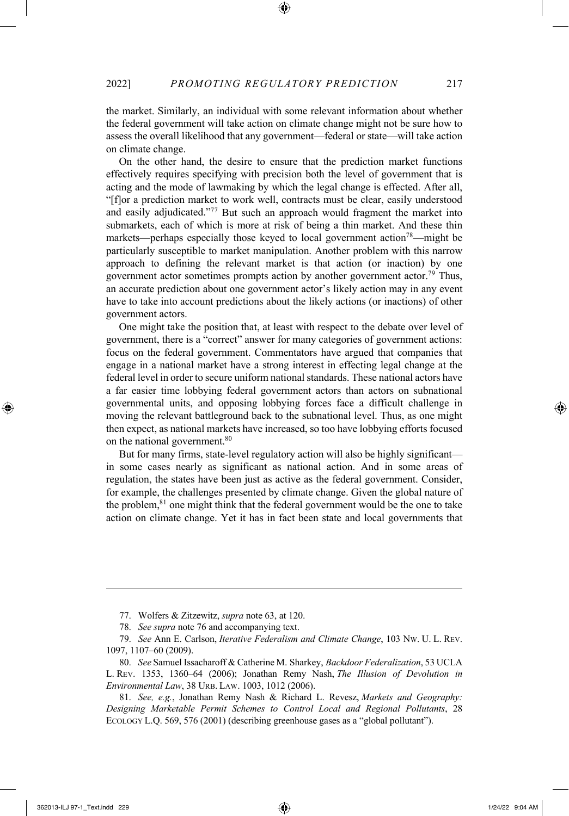the market. Similarly, an individual with some relevant information about whether the federal government will take action on climate change might not be sure how to assess the overall likelihood that any government—federal or state—will take action on climate change.

On the other hand, the desire to ensure that the prediction market functions effectively requires specifying with precision both the level of government that is acting and the mode of lawmaking by which the legal change is effected. After all, "[f]or a prediction market to work well, contracts must be clear, easily understood and easily adjudicated."<sup>77</sup> But such an approach would fragment the market into submarkets, each of which is more at risk of being a thin market. And these thin markets—perhaps especially those keyed to local government action<sup>78</sup>—might be particularly susceptible to market manipulation. Another problem with this narrow approach to defining the relevant market is that action (or inaction) by one government actor sometimes prompts action by another government actor.<sup>79</sup> Thus, an accurate prediction about one government actor's likely action may in any event have to take into account predictions about the likely actions (or inactions) of other government actors.

One might take the position that, at least with respect to the debate over level of government, there is a "correct" answer for many categories of government actions: focus on the federal government. Commentators have argued that companies that engage in a national market have a strong interest in effecting legal change at the federal level in order to secure uniform national standards. These national actors have a far easier time lobbying federal government actors than actors on subnational governmental units, and opposing lobbying forces face a difficult challenge in moving the relevant battleground back to the subnational level. Thus, as one might then expect, as national markets have increased, so too have lobbying efforts focused on the national government.80

But for many firms, state-level regulatory action will also be highly significant in some cases nearly as significant as national action. And in some areas of regulation, the states have been just as active as the federal government. Consider, for example, the challenges presented by climate change. Given the global nature of the problem,<sup>81</sup> one might think that the federal government would be the one to take action on climate change. Yet it has in fact been state and local governments that

<sup>77.</sup> Wolfers & Zitzewitz, *supra* note 63, at 120.

<sup>78.</sup> *See supra* note 76 and accompanying text.

<sup>79.</sup> *See* Ann E. Carlson, *Iterative Federalism and Climate Change*, 103 NW. U. L. REV. 1097, 1107–60 (2009).

<sup>80.</sup> *See* Samuel Issacharoff & Catherine M. Sharkey, *Backdoor Federalization*, 53 UCLA L. REV. 1353, 1360–64 (2006); Jonathan Remy Nash, *The Illusion of Devolution in Environmental Law*, 38 URB. LAW. 1003, 1012 (2006).

<sup>81.</sup> *See, e.g.*, Jonathan Remy Nash & Richard L. Revesz, *Markets and Geography: Designing Marketable Permit Schemes to Control Local and Regional Pollutants*, 28 ECOLOGY L.Q. 569, 576 (2001) (describing greenhouse gases as a "global pollutant").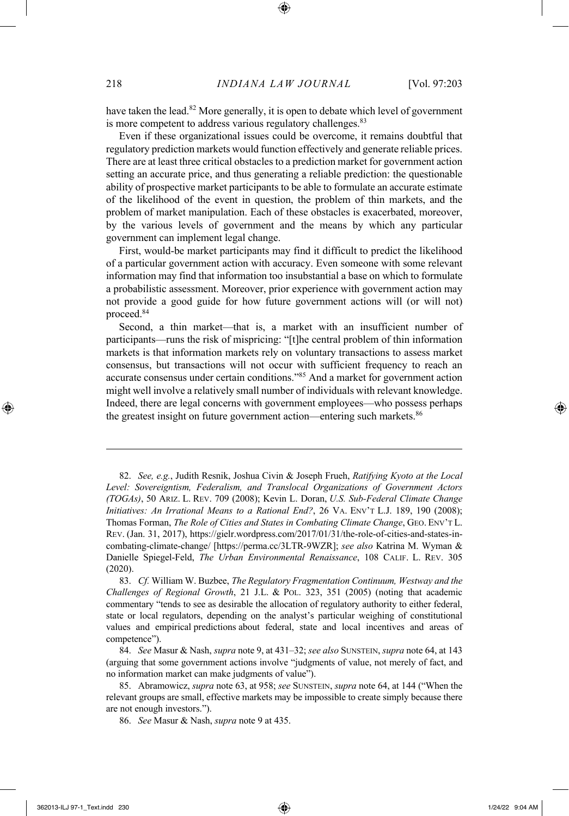have taken the lead.<sup>82</sup> More generally, it is open to debate which level of government is more competent to address various regulatory challenges.<sup>83</sup>

Even if these organizational issues could be overcome, it remains doubtful that regulatory prediction markets would function effectively and generate reliable prices. There are at least three critical obstacles to a prediction market for government action setting an accurate price, and thus generating a reliable prediction: the questionable ability of prospective market participants to be able to formulate an accurate estimate of the likelihood of the event in question, the problem of thin markets, and the problem of market manipulation. Each of these obstacles is exacerbated, moreover, by the various levels of government and the means by which any particular government can implement legal change.

First, would-be market participants may find it difficult to predict the likelihood of a particular government action with accuracy. Even someone with some relevant information may find that information too insubstantial a base on which to formulate a probabilistic assessment. Moreover, prior experience with government action may not provide a good guide for how future government actions will (or will not) proceed.84

Second, a thin market—that is, a market with an insufficient number of participants—runs the risk of mispricing: "[t]he central problem of thin information markets is that information markets rely on voluntary transactions to assess market consensus, but transactions will not occur with sufficient frequency to reach an accurate consensus under certain conditions."85 And a market for government action might well involve a relatively small number of individuals with relevant knowledge. Indeed, there are legal concerns with government employees—who possess perhaps the greatest insight on future government action—entering such markets.<sup>86</sup>

<sup>82.</sup> *See, e.g.*, Judith Resnik, Joshua Civin & Joseph Frueh, *Ratifying Kyoto at the Local Level: Sovereigntism, Federalism, and Translocal Organizations of Government Actors (TOGAs)*, 50 ARIZ. L. REV. 709 (2008); Kevin L. Doran, *U.S. Sub-Federal Climate Change Initiatives: An Irrational Means to a Rational End?*, 26 VA. ENV'T L.J. 189, 190 (2008); Thomas Forman, *The Role of Cities and States in Combating Climate Change*, GEO. ENV'T L. REV. (Jan. 31, 2017), https://gielr.wordpress.com/2017/01/31/the-role-of-cities-and-states-incombating-climate-change/ [https://perma.cc/3LTR-9WZR]; *see also* Katrina M. Wyman & Danielle Spiegel-Feld, *The Urban Environmental Renaissance*, 108 CALIF. L. REV. 305 (2020).

<sup>83.</sup> *Cf.* William W. Buzbee, *The Regulatory Fragmentation Continuum, Westway and the Challenges of Regional Growth*, 21 J.L. & POL. 323, 351 (2005) (noting that academic commentary "tends to see as desirable the allocation of regulatory authority to either federal, state or local regulators, depending on the analyst's particular weighing of constitutional values and empirical predictions about federal, state and local incentives and areas of competence").

<sup>84.</sup> *See* Masur & Nash, *supra* note 9, at 431–32; *see also* SUNSTEIN, *supra* note 64, at 143 (arguing that some government actions involve "judgments of value, not merely of fact, and no information market can make judgments of value").

<sup>85.</sup> Abramowicz, *supra* note 63, at 958; *see* SUNSTEIN, *supra* note 64, at 144 ("When the relevant groups are small, effective markets may be impossible to create simply because there are not enough investors.").

<sup>86.</sup> *See* Masur & Nash, *supra* note 9 at 435.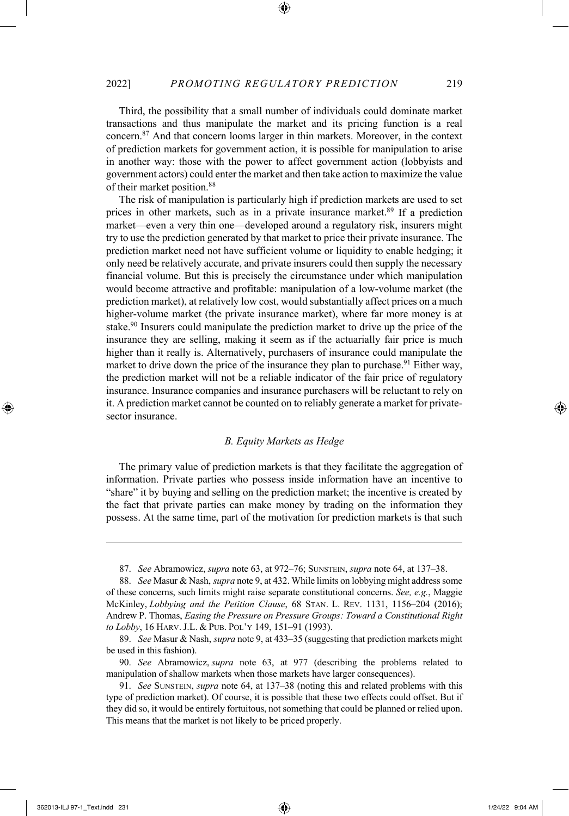Third, the possibility that a small number of individuals could dominate market transactions and thus manipulate the market and its pricing function is a real concern.87 And that concern looms larger in thin markets. Moreover, in the context of prediction markets for government action, it is possible for manipulation to arise in another way: those with the power to affect government action (lobbyists and government actors) could enter the market and then take action to maximize the value of their market position.88

The risk of manipulation is particularly high if prediction markets are used to set prices in other markets, such as in a private insurance market.<sup>89</sup> If a prediction market—even a very thin one—developed around a regulatory risk, insurers might try to use the prediction generated by that market to price their private insurance. The prediction market need not have sufficient volume or liquidity to enable hedging; it only need be relatively accurate, and private insurers could then supply the necessary financial volume. But this is precisely the circumstance under which manipulation would become attractive and profitable: manipulation of a low-volume market (the prediction market), at relatively low cost, would substantially affect prices on a much higher-volume market (the private insurance market), where far more money is at stake.<sup>90</sup> Insurers could manipulate the prediction market to drive up the price of the insurance they are selling, making it seem as if the actuarially fair price is much higher than it really is. Alternatively, purchasers of insurance could manipulate the market to drive down the price of the insurance they plan to purchase.<sup>91</sup> Either way, the prediction market will not be a reliable indicator of the fair price of regulatory insurance. Insurance companies and insurance purchasers will be reluctant to rely on it. A prediction market cannot be counted on to reliably generate a market for privatesector insurance.

#### *B. Equity Markets as Hedge*

The primary value of prediction markets is that they facilitate the aggregation of information. Private parties who possess inside information have an incentive to "share" it by buying and selling on the prediction market; the incentive is created by the fact that private parties can make money by trading on the information they possess. At the same time, part of the motivation for prediction markets is that such

<sup>87.</sup> *See* Abramowicz, *supra* note 63, at 972–76; SUNSTEIN, *supra* note 64, at 137–38.

<sup>88.</sup> *See* Masur & Nash, *supra* note 9, at 432. While limits on lobbying might address some of these concerns, such limits might raise separate constitutional concerns. *See, e.g.*, Maggie McKinley, *Lobbying and the Petition Clause*, 68 STAN. L. REV. 1131, 1156–204 (2016); Andrew P. Thomas, *Easing the Pressure on Pressure Groups: Toward a Constitutional Right to Lobby*, 16 HARV.J.L. & PUB. POL'Y 149, 151–91 (1993).

<sup>89.</sup> *See* Masur & Nash, *supra* note 9, at 433–35 (suggesting that prediction markets might be used in this fashion).

<sup>90.</sup> *See* Abramowicz, *supra* note 63, at 977 (describing the problems related to manipulation of shallow markets when those markets have larger consequences).

<sup>91.</sup> *See* SUNSTEIN, *supra* note 64, at 137–38 (noting this and related problems with this type of prediction market). Of course, it is possible that these two effects could offset. But if they did so, it would be entirely fortuitous, not something that could be planned or relied upon. This means that the market is not likely to be priced properly.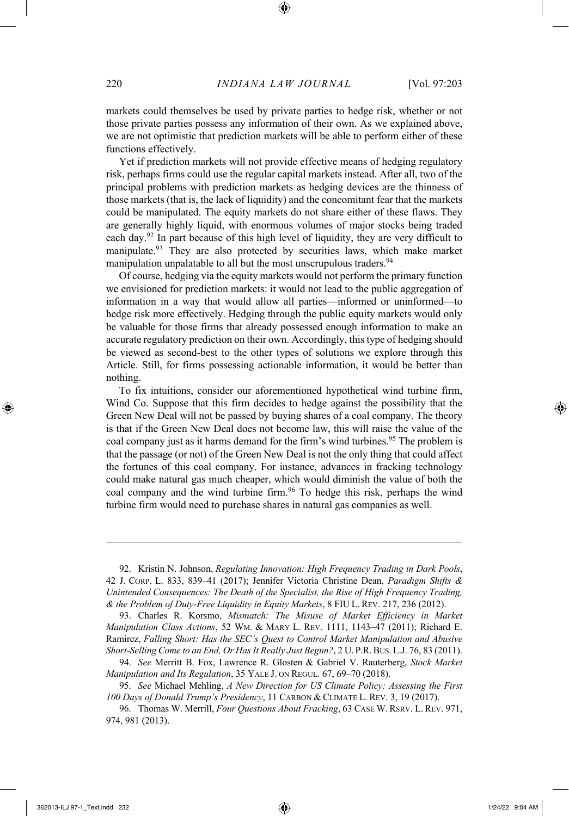markets could themselves be used by private parties to hedge risk, whether or not those private parties possess any information of their own. As we explained above, we are not optimistic that prediction markets will be able to perform either of these functions effectively.

Yet if prediction markets will not provide effective means of hedging regulatory risk, perhaps firms could use the regular capital markets instead. After all, two of the principal problems with prediction markets as hedging devices are the thinness of those markets (that is, the lack of liquidity) and the concomitant fear that the markets could be manipulated. The equity markets do not share either of these flaws. They are generally highly liquid, with enormous volumes of major stocks being traded each day.92 In part because of this high level of liquidity, they are very difficult to manipulate.93 They are also protected by securities laws, which make market manipulation unpalatable to all but the most unscrupulous traders.<sup>94</sup>

Of course, hedging via the equity markets would not perform the primary function we envisioned for prediction markets: it would not lead to the public aggregation of information in a way that would allow all parties—informed or uninformed—to hedge risk more effectively. Hedging through the public equity markets would only be valuable for those firms that already possessed enough information to make an accurate regulatory prediction on their own. Accordingly, this type of hedging should be viewed as second-best to the other types of solutions we explore through this Article. Still, for firms possessing actionable information, it would be better than nothing.

To fix intuitions, consider our aforementioned hypothetical wind turbine firm, Wind Co. Suppose that this firm decides to hedge against the possibility that the Green New Deal will not be passed by buying shares of a coal company. The theory is that if the Green New Deal does not become law, this will raise the value of the coal company just as it harms demand for the firm's wind turbines.<sup>95</sup> The problem is that the passage (or not) of the Green New Deal is not the only thing that could affect the fortunes of this coal company. For instance, advances in fracking technology could make natural gas much cheaper, which would diminish the value of both the coal company and the wind turbine firm.<sup>96</sup> To hedge this risk, perhaps the wind turbine firm would need to purchase shares in natural gas companies as well.

<sup>92.</sup> Kristin N. Johnson, *Regulating Innovation: High Frequency Trading in Dark Pools*, 42 J. CORP. L. 833, 839–41 (2017); Jennifer Victoria Christine Dean, *Paradigm Shifts & Unintended Consequences: The Death of the Specialist, the Rise of High Frequency Trading, & the Problem of Duty-Free Liquidity in Equity Markets*, 8 FIU L. REV. 217, 236 (2012).

<sup>93.</sup> Charles R. Korsmo, *Mismatch: The Misuse of Market Efficiency in Market Manipulation Class Actions*, 52 WM. & MARY L. REV. 1111, 1143–47 (2011); Richard E. Ramirez, *Falling Short: Has the SEC's Quest to Control Market Manipulation and Abusive Short-Selling Come to an End, Or Has It Really Just Begun?*, 2 U. P.R.BUS.L.J. 76, 83 (2011).

<sup>94.</sup> *See* Merritt B. Fox, Lawrence R. Glosten & Gabriel V. Rauterberg, *Stock Market Manipulation and Its Regulation*, 35 YALE J. ON REGUL. 67, 69–70 (2018).

<sup>95.</sup> *See* Michael Mehling, *A New Direction for US Climate Policy: Assessing the First 100 Days of Donald Trump's Presidency*, 11 CARBON & CLIMATE L. REV. 3, 19 (2017).

<sup>96.</sup> Thomas W. Merrill, *Four Questions About Fracking*, 63 CASE W. RSRV. L. REV. 971, 974, 981 (2013).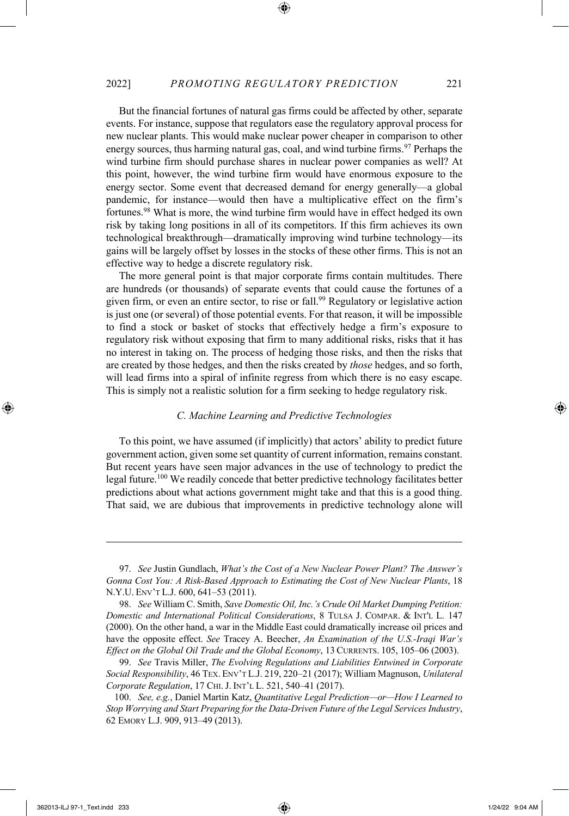But the financial fortunes of natural gas firms could be affected by other, separate events. For instance, suppose that regulators ease the regulatory approval process for new nuclear plants. This would make nuclear power cheaper in comparison to other energy sources, thus harming natural gas, coal, and wind turbine firms.<sup>97</sup> Perhaps the wind turbine firm should purchase shares in nuclear power companies as well? At this point, however, the wind turbine firm would have enormous exposure to the energy sector. Some event that decreased demand for energy generally—a global pandemic, for instance—would then have a multiplicative effect on the firm's fortunes.98 What is more, the wind turbine firm would have in effect hedged its own risk by taking long positions in all of its competitors. If this firm achieves its own technological breakthrough—dramatically improving wind turbine technology—its gains will be largely offset by losses in the stocks of these other firms. This is not an effective way to hedge a discrete regulatory risk.

The more general point is that major corporate firms contain multitudes. There are hundreds (or thousands) of separate events that could cause the fortunes of a given firm, or even an entire sector, to rise or fall.99 Regulatory or legislative action is just one (or several) of those potential events. For that reason, it will be impossible to find a stock or basket of stocks that effectively hedge a firm's exposure to regulatory risk without exposing that firm to many additional risks, risks that it has no interest in taking on. The process of hedging those risks, and then the risks that are created by those hedges, and then the risks created by *those* hedges, and so forth, will lead firms into a spiral of infinite regress from which there is no easy escape. This is simply not a realistic solution for a firm seeking to hedge regulatory risk.

#### *C. Machine Learning and Predictive Technologies*

To this point, we have assumed (if implicitly) that actors' ability to predict future government action, given some set quantity of current information, remains constant. But recent years have seen major advances in the use of technology to predict the legal future.100 We readily concede that better predictive technology facilitates better predictions about what actions government might take and that this is a good thing. That said, we are dubious that improvements in predictive technology alone will

<sup>97.</sup> *See* Justin Gundlach, *What's the Cost of a New Nuclear Power Plant? The Answer's Gonna Cost You: A Risk-Based Approach to Estimating the Cost of New Nuclear Plants*, 18 N.Y.U. ENV'T L.J. 600, 641–53 (2011).

<sup>98.</sup> *See* William C. Smith, *Save Domestic Oil, Inc.'s Crude Oil Market Dumping Petition: Domestic and International Political Considerations*, 8 TULSA J. COMPAR. & INT'L L. 147 (2000). On the other hand, a war in the Middle East could dramatically increase oil prices and have the opposite effect. *See* Tracey A. Beecher, *An Examination of the U.S.-Iraqi War's Effect on the Global Oil Trade and the Global Economy*, 13 CURRENTS. 105, 105–06 (2003).

<sup>99.</sup> *See* Travis Miller, *The Evolving Regulations and Liabilities Entwined in Corporate Social Responsibility*, 46 TEX. ENV'T L.J. 219, 220–21 (2017); William Magnuson, *Unilateral Corporate Regulation*, 17 CHI.J. INT'L L. 521, 540–41 (2017).

<sup>100.</sup> *See, e.g.*, Daniel Martin Katz, *Quantitative Legal Prediction—or—How I Learned to Stop Worrying and Start Preparing for the Data-Driven Future of the Legal Services Industry*, 62 EMORY L.J. 909, 913–49 (2013).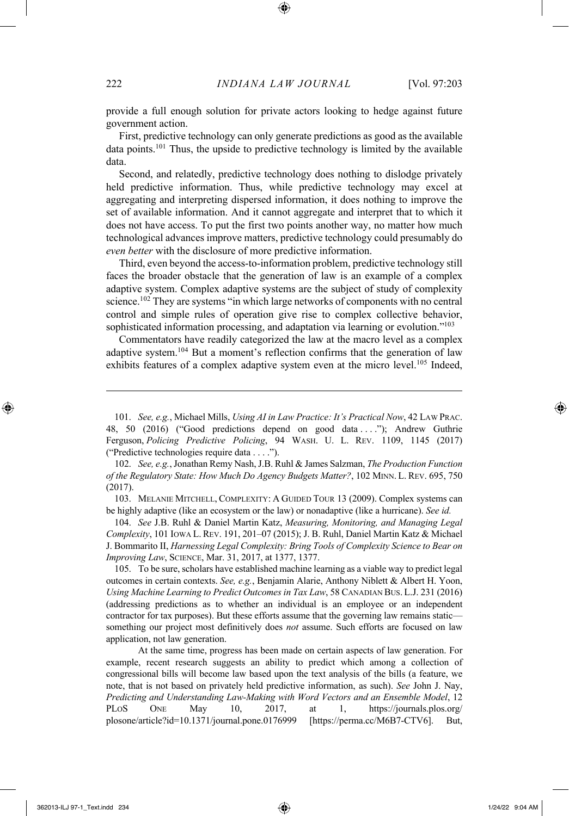provide a full enough solution for private actors looking to hedge against future government action.

First, predictive technology can only generate predictions as good as the available data points.<sup>101</sup> Thus, the upside to predictive technology is limited by the available data.

Second, and relatedly, predictive technology does nothing to dislodge privately held predictive information. Thus, while predictive technology may excel at aggregating and interpreting dispersed information, it does nothing to improve the set of available information. And it cannot aggregate and interpret that to which it does not have access. To put the first two points another way, no matter how much technological advances improve matters, predictive technology could presumably do *even better* with the disclosure of more predictive information.

Third, even beyond the access-to-information problem, predictive technology still faces the broader obstacle that the generation of law is an example of a complex adaptive system. Complex adaptive systems are the subject of study of complexity science.102 They are systems "in which large networks of components with no central control and simple rules of operation give rise to complex collective behavior, sophisticated information processing, and adaptation via learning or evolution."<sup>103</sup>

Commentators have readily categorized the law at the macro level as a complex adaptive system.104 But a moment's reflection confirms that the generation of law exhibits features of a complex adaptive system even at the micro level.<sup>105</sup> Indeed,

102. *See, e.g.*, Jonathan Remy Nash, J.B. Ruhl & James Salzman, *The Production Function of the Regulatory State: How Much Do Agency Budgets Matter?*, 102 MINN. L. REV. 695, 750 (2017).

103. MELANIE MITCHELL, COMPLEXITY: A GUIDED TOUR 13 (2009). Complex systems can be highly adaptive (like an ecosystem or the law) or nonadaptive (like a hurricane). *See id.*

104. *See* J.B. Ruhl & Daniel Martin Katz, *Measuring, Monitoring, and Managing Legal Complexity*, 101 IOWA L. REV. 191, 201–07 (2015); J. B. Ruhl, Daniel Martin Katz & Michael J. Bommarito II, *Harnessing Legal Complexity: Bring Tools of Complexity Science to Bear on Improving Law*, SCIENCE, Mar. 31, 2017, at 1377, 1377.

105. To be sure, scholars have established machine learning as a viable way to predict legal outcomes in certain contexts. *See, e.g.*, Benjamin Alarie, Anthony Niblett & Albert H. Yoon, *Using Machine Learning to Predict Outcomes in Tax Law*, 58 CANADIAN BUS. L.J. 231 (2016) (addressing predictions as to whether an individual is an employee or an independent contractor for tax purposes). But these efforts assume that the governing law remains static something our project most definitively does *not* assume. Such efforts are focused on law application, not law generation.

At the same time, progress has been made on certain aspects of law generation. For example, recent research suggests an ability to predict which among a collection of congressional bills will become law based upon the text analysis of the bills (a feature, we note, that is not based on privately held predictive information, as such). *See* John J. Nay, *Predicting and Understanding Law-Making with Word Vectors and an Ensemble Model*, 12 PLOS ONE May 10, 2017, at 1, https://journals.plos.org/ plosone/article?id=10.1371/journal.pone.0176999 [https://perma.cc/M6B7-CTV6]. But,

<sup>101.</sup> *See, e.g.*, Michael Mills, *Using AI in Law Practice: It's Practical Now*, 42 LAW PRAC. 48, 50 (2016) ("Good predictions depend on good data . . . ."); Andrew Guthrie Ferguson, *Policing Predictive Policing*, 94 WASH. U. L. REV. 1109, 1145 (2017) ("Predictive technologies require data . . . .").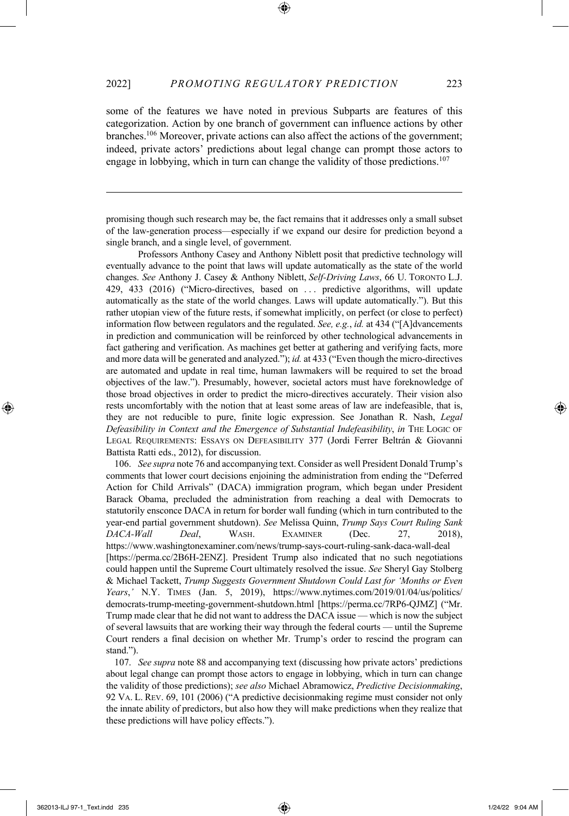some of the features we have noted in previous Subparts are features of this categorization. Action by one branch of government can influence actions by other branches.106 Moreover, private actions can also affect the actions of the government; indeed, private actors' predictions about legal change can prompt those actors to engage in lobbying, which in turn can change the validity of those predictions.<sup>107</sup>

promising though such research may be, the fact remains that it addresses only a small subset of the law-generation process—especially if we expand our desire for prediction beyond a single branch, and a single level, of government.

Professors Anthony Casey and Anthony Niblett posit that predictive technology will eventually advance to the point that laws will update automatically as the state of the world changes. *See* Anthony J. Casey & Anthony Niblett, *Self-Driving Laws*, 66 U. TORONTO L.J. 429, 433 (2016) ("Micro-directives, based on . . . predictive algorithms, will update automatically as the state of the world changes. Laws will update automatically."). But this rather utopian view of the future rests, if somewhat implicitly, on perfect (or close to perfect) information flow between regulators and the regulated. *See, e.g.*, *id.* at 434 ("[A]dvancements in prediction and communication will be reinforced by other technological advancements in fact gathering and verification. As machines get better at gathering and verifying facts, more and more data will be generated and analyzed."); *id.* at 433 ("Even though the micro-directives are automated and update in real time, human lawmakers will be required to set the broad objectives of the law."). Presumably, however, societal actors must have foreknowledge of those broad objectives in order to predict the micro-directives accurately. Their vision also rests uncomfortably with the notion that at least some areas of law are indefeasible, that is, they are not reducible to pure, finite logic expression. See Jonathan R. Nash, *Legal Defeasibility in Context and the Emergence of Substantial Indefeasibility*, *in* THE LOGIC OF LEGAL REQUIREMENTS: ESSAYS ON DEFEASIBILITY 377 (Jordi Ferrer Beltrán & Giovanni Battista Ratti eds., 2012), for discussion.

106. *See supra* note 76 and accompanying text. Consider as well President Donald Trump's comments that lower court decisions enjoining the administration from ending the "Deferred Action for Child Arrivals" (DACA) immigration program, which began under President Barack Obama, precluded the administration from reaching a deal with Democrats to statutorily ensconce DACA in return for border wall funding (which in turn contributed to the year-end partial government shutdown). *See* Melissa Quinn, *Trump Says Court Ruling Sank DACA-Wall Deal*, WASH. EXAMINER (Dec. 27, 2018), https://www.washingtonexaminer.com/news/trump-says-court-ruling-sank-daca-wall-deal [https://perma.cc/2B6H-2ENZ]. President Trump also indicated that no such negotiations could happen until the Supreme Court ultimately resolved the issue. *See* Sheryl Gay Stolberg & Michael Tackett, *Trump Suggests Government Shutdown Could Last for 'Months or Even Years*,*'* N.Y. TIMES (Jan. 5, 2019), https://www.nytimes.com/2019/01/04/us/politics/ democrats-trump-meeting-government-shutdown.html [https://perma.cc/7RP6-QJMZ] ("Mr. Trump made clear that he did not want to address the DACA issue — which is now the subject of several lawsuits that are working their way through the federal courts — until the Supreme Court renders a final decision on whether Mr. Trump's order to rescind the program can stand.").

107. *See supra* note 88 and accompanying text (discussing how private actors' predictions about legal change can prompt those actors to engage in lobbying, which in turn can change the validity of those predictions); *see also* Michael Abramowicz, *Predictive Decisionmaking*, 92 VA. L. REV. 69, 101 (2006) ("A predictive decisionmaking regime must consider not only the innate ability of predictors, but also how they will make predictions when they realize that these predictions will have policy effects.").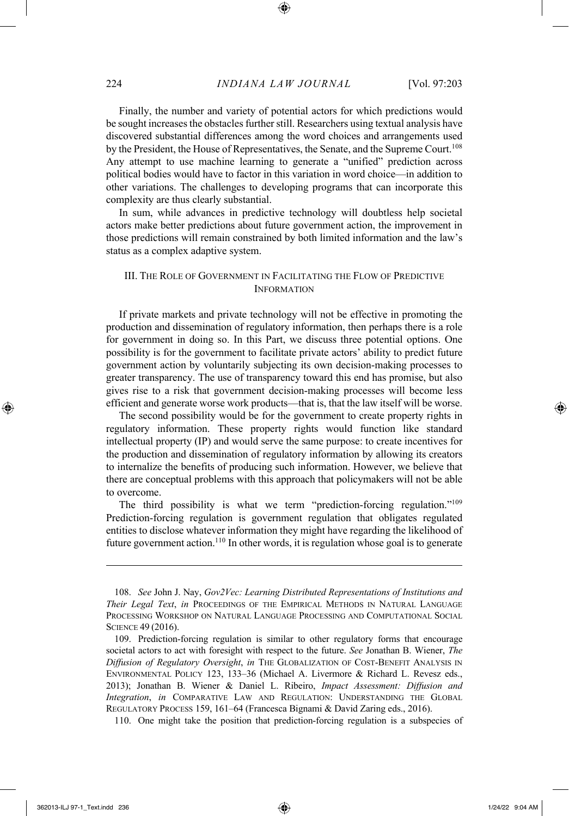Finally, the number and variety of potential actors for which predictions would be sought increases the obstacles further still. Researchers using textual analysis have discovered substantial differences among the word choices and arrangements used by the President, the House of Representatives, the Senate, and the Supreme Court.<sup>108</sup> Any attempt to use machine learning to generate a "unified" prediction across political bodies would have to factor in this variation in word choice—in addition to other variations. The challenges to developing programs that can incorporate this complexity are thus clearly substantial.

In sum, while advances in predictive technology will doubtless help societal actors make better predictions about future government action, the improvement in those predictions will remain constrained by both limited information and the law's status as a complex adaptive system.

#### III. THE ROLE OF GOVERNMENT IN FACILITATING THE FLOW OF PREDICTIVE INFORMATION

If private markets and private technology will not be effective in promoting the production and dissemination of regulatory information, then perhaps there is a role for government in doing so. In this Part, we discuss three potential options. One possibility is for the government to facilitate private actors' ability to predict future government action by voluntarily subjecting its own decision-making processes to greater transparency. The use of transparency toward this end has promise, but also gives rise to a risk that government decision-making processes will become less efficient and generate worse work products—that is, that the law itself will be worse.

The second possibility would be for the government to create property rights in regulatory information. These property rights would function like standard intellectual property (IP) and would serve the same purpose: to create incentives for the production and dissemination of regulatory information by allowing its creators to internalize the benefits of producing such information. However, we believe that there are conceptual problems with this approach that policymakers will not be able to overcome.

The third possibility is what we term "prediction-forcing regulation."109 Prediction-forcing regulation is government regulation that obligates regulated entities to disclose whatever information they might have regarding the likelihood of future government action.110 In other words, it is regulation whose goal is to generate

110. One might take the position that prediction-forcing regulation is a subspecies of

<sup>108.</sup> *See* John J. Nay, *Gov2Vec: Learning Distributed Representations of Institutions and Their Legal Text*, *in* PROCEEDINGS OF THE EMPIRICAL METHODS IN NATURAL LANGUAGE PROCESSING WORKSHOP ON NATURAL LANGUAGE PROCESSING AND COMPUTATIONAL SOCIAL SCIENCE 49 (2016).

<sup>109.</sup> Prediction-forcing regulation is similar to other regulatory forms that encourage societal actors to act with foresight with respect to the future. *See* Jonathan B. Wiener, *The Diffusion of Regulatory Oversight*, *in* THE GLOBALIZATION OF COST-BENEFIT ANALYSIS IN ENVIRONMENTAL POLICY 123, 133–36 (Michael A. Livermore & Richard L. Revesz eds., 2013); Jonathan B. Wiener & Daniel L. Ribeiro, *Impact Assessment: Diffusion and Integration*, *in* COMPARATIVE LAW AND REGULATION: UNDERSTANDING THE GLOBAL REGULATORY PROCESS 159, 161–64 (Francesca Bignami & David Zaring eds., 2016).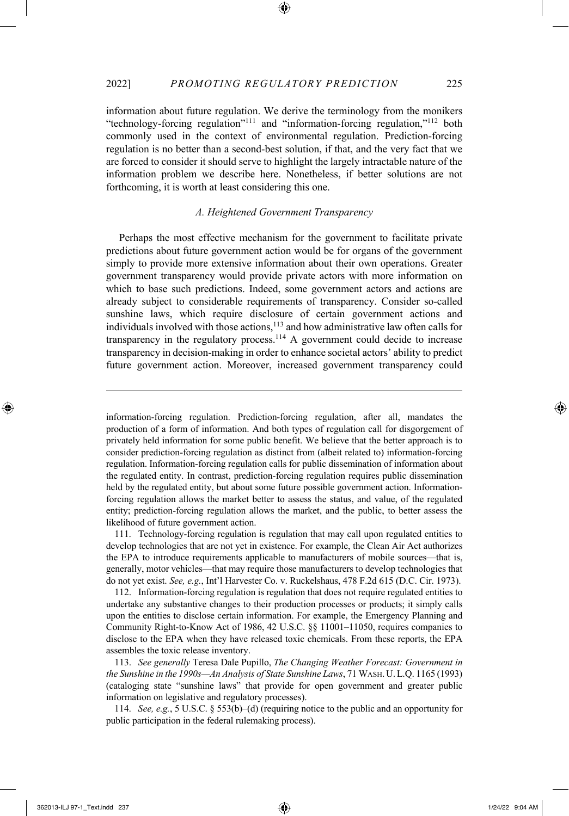information about future regulation. We derive the terminology from the monikers "technology-forcing regulation"111 and "information-forcing regulation,"112 both commonly used in the context of environmental regulation. Prediction-forcing regulation is no better than a second-best solution, if that, and the very fact that we are forced to consider it should serve to highlight the largely intractable nature of the information problem we describe here. Nonetheless, if better solutions are not forthcoming, it is worth at least considering this one.

#### *A. Heightened Government Transparency*

Perhaps the most effective mechanism for the government to facilitate private predictions about future government action would be for organs of the government simply to provide more extensive information about their own operations. Greater government transparency would provide private actors with more information on which to base such predictions. Indeed, some government actors and actions are already subject to considerable requirements of transparency. Consider so-called sunshine laws, which require disclosure of certain government actions and individuals involved with those actions, $113$  and how administrative law often calls for transparency in the regulatory process.<sup>114</sup> A government could decide to increase transparency in decision-making in order to enhance societal actors' ability to predict future government action. Moreover, increased government transparency could

information-forcing regulation. Prediction-forcing regulation, after all, mandates the production of a form of information. And both types of regulation call for disgorgement of privately held information for some public benefit. We believe that the better approach is to consider prediction-forcing regulation as distinct from (albeit related to) information-forcing regulation. Information-forcing regulation calls for public dissemination of information about the regulated entity. In contrast, prediction-forcing regulation requires public dissemination held by the regulated entity, but about some future possible government action. Informationforcing regulation allows the market better to assess the status, and value, of the regulated entity; prediction-forcing regulation allows the market, and the public, to better assess the likelihood of future government action.

111. Technology-forcing regulation is regulation that may call upon regulated entities to develop technologies that are not yet in existence. For example, the Clean Air Act authorizes the EPA to introduce requirements applicable to manufacturers of mobile sources—that is, generally, motor vehicles—that may require those manufacturers to develop technologies that do not yet exist. *See, e.g.*, Int'l Harvester Co. v. Ruckelshaus, 478 F.2d 615 (D.C. Cir. 1973).

112. Information-forcing regulation is regulation that does not require regulated entities to undertake any substantive changes to their production processes or products; it simply calls upon the entities to disclose certain information. For example, the Emergency Planning and Community Right-to-Know Act of 1986, 42 U.S.C. §§ 11001–11050, requires companies to disclose to the EPA when they have released toxic chemicals. From these reports, the EPA assembles the toxic release inventory.

113. *See generally* Teresa Dale Pupillo, *The Changing Weather Forecast: Government in the Sunshine in the 1990s—An Analysis of State Sunshine Laws*, 71 WASH.U.L.Q. 1165 (1993) (cataloging state "sunshine laws" that provide for open government and greater public information on legislative and regulatory processes).

114. *See, e.g.*, 5 U.S.C. § 553(b)–(d) (requiring notice to the public and an opportunity for public participation in the federal rulemaking process).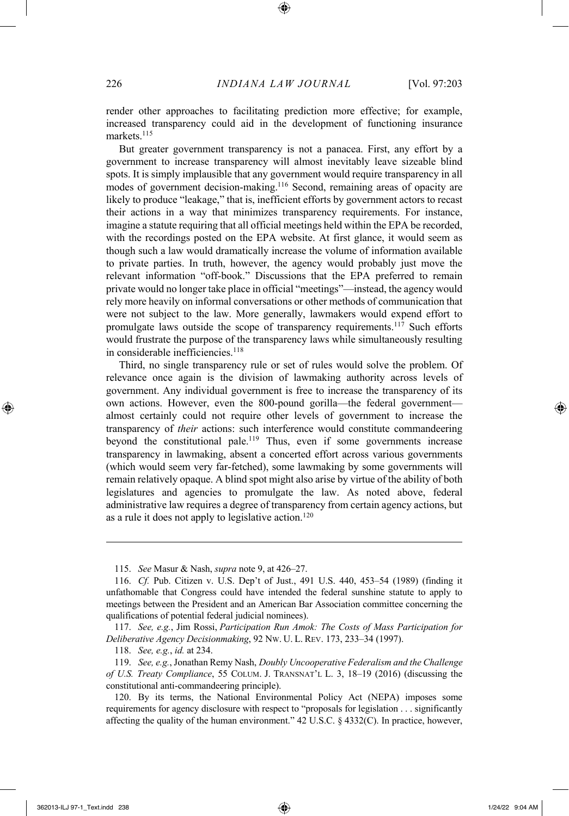render other approaches to facilitating prediction more effective; for example, increased transparency could aid in the development of functioning insurance markets.115

But greater government transparency is not a panacea. First, any effort by a government to increase transparency will almost inevitably leave sizeable blind spots. It is simply implausible that any government would require transparency in all modes of government decision-making.116 Second, remaining areas of opacity are likely to produce "leakage," that is, inefficient efforts by government actors to recast their actions in a way that minimizes transparency requirements. For instance, imagine a statute requiring that all official meetings held within the EPA be recorded, with the recordings posted on the EPA website. At first glance, it would seem as though such a law would dramatically increase the volume of information available to private parties. In truth, however, the agency would probably just move the relevant information "off-book." Discussions that the EPA preferred to remain private would no longer take place in official "meetings"—instead, the agency would rely more heavily on informal conversations or other methods of communication that were not subject to the law. More generally, lawmakers would expend effort to promulgate laws outside the scope of transparency requirements.<sup>117</sup> Such efforts would frustrate the purpose of the transparency laws while simultaneously resulting in considerable inefficiencies.<sup>118</sup>

Third, no single transparency rule or set of rules would solve the problem. Of relevance once again is the division of lawmaking authority across levels of government. Any individual government is free to increase the transparency of its own actions. However, even the 800-pound gorilla—the federal government almost certainly could not require other levels of government to increase the transparency of *their* actions: such interference would constitute commandeering beyond the constitutional pale.119 Thus, even if some governments increase transparency in lawmaking, absent a concerted effort across various governments (which would seem very far-fetched), some lawmaking by some governments will remain relatively opaque. A blind spot might also arise by virtue of the ability of both legislatures and agencies to promulgate the law. As noted above, federal administrative law requires a degree of transparency from certain agency actions, but as a rule it does not apply to legislative action.<sup>120</sup>

<sup>115.</sup> *See* Masur & Nash, *supra* note 9, at 426–27.

<sup>116.</sup> *Cf.* Pub. Citizen v. U.S. Dep't of Just., 491 U.S. 440, 453–54 (1989) (finding it unfathomable that Congress could have intended the federal sunshine statute to apply to meetings between the President and an American Bar Association committee concerning the qualifications of potential federal judicial nominees).

<sup>117.</sup> *See, e.g.*, Jim Rossi, *Participation Run Amok: The Costs of Mass Participation for Deliberative Agency Decisionmaking*, 92 NW. U. L. REV. 173, 233–34 (1997).

<sup>118.</sup> *See, e.g.*, *id.* at 234.

<sup>119.</sup> *See, e.g.*, Jonathan Remy Nash, *Doubly Uncooperative Federalism and the Challenge of U.S. Treaty Compliance*, 55 COLUM. J. TRANSNAT'L L. 3, 18–19 (2016) (discussing the constitutional anti-commandeering principle).

<sup>120.</sup> By its terms, the National Environmental Policy Act (NEPA) imposes some requirements for agency disclosure with respect to "proposals for legislation . . . significantly affecting the quality of the human environment." 42 U.S.C. § 4332(C). In practice, however,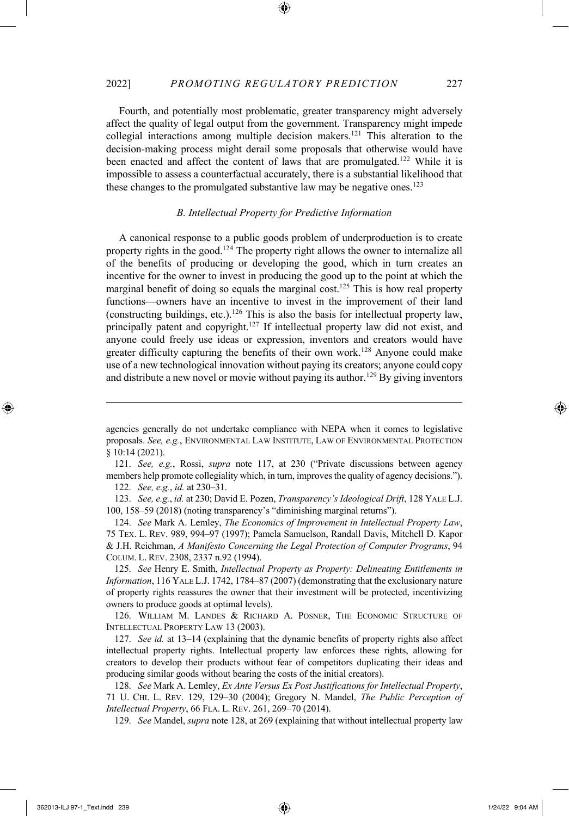Fourth, and potentially most problematic, greater transparency might adversely affect the quality of legal output from the government. Transparency might impede collegial interactions among multiple decision makers.121 This alteration to the decision-making process might derail some proposals that otherwise would have been enacted and affect the content of laws that are promulgated.<sup>122</sup> While it is impossible to assess a counterfactual accurately, there is a substantial likelihood that these changes to the promulgated substantive law may be negative ones.<sup>123</sup>

#### *B. Intellectual Property for Predictive Information*

A canonical response to a public goods problem of underproduction is to create property rights in the good.124 The property right allows the owner to internalize all of the benefits of producing or developing the good, which in turn creates an incentive for the owner to invest in producing the good up to the point at which the marginal benefit of doing so equals the marginal cost.<sup>125</sup> This is how real property functions—owners have an incentive to invest in the improvement of their land (constructing buildings, etc.).126 This is also the basis for intellectual property law, principally patent and copyright.<sup>127</sup> If intellectual property law did not exist, and anyone could freely use ideas or expression, inventors and creators would have greater difficulty capturing the benefits of their own work.128 Anyone could make use of a new technological innovation without paying its creators; anyone could copy and distribute a new novel or movie without paying its author.<sup>129</sup> By giving inventors

121. *See, e.g.*, Rossi, *supra* note 117, at 230 ("Private discussions between agency members help promote collegiality which, in turn, improves the quality of agency decisions.").

122. *See, e.g.*, *id.* at 230–31.

123. *See, e.g.*, *id.* at 230; David E. Pozen, *Transparency's Ideological Drift*, 128 YALE L.J. 100, 158–59 (2018) (noting transparency's "diminishing marginal returns").

124. *See* Mark A. Lemley, *The Economics of Improvement in Intellectual Property Law*, 75 TEX. L. REV. 989, 994–97 (1997); Pamela Samuelson, Randall Davis, Mitchell D. Kapor & J.H. Reichman, *A Manifesto Concerning the Legal Protection of Computer Programs*, 94 COLUM. L. REV. 2308, 2337 n.92 (1994).

125. *See* Henry E. Smith, *Intellectual Property as Property: Delineating Entitlements in Information*, 116 YALE L.J. 1742, 1784–87 (2007) (demonstrating that the exclusionary nature of property rights reassures the owner that their investment will be protected, incentivizing owners to produce goods at optimal levels).

126. WILLIAM M. LANDES & RICHARD A. POSNER, THE ECONOMIC STRUCTURE OF INTELLECTUAL PROPERTY LAW 13 (2003).

127. *See id.* at 13–14 (explaining that the dynamic benefits of property rights also affect intellectual property rights. Intellectual property law enforces these rights, allowing for creators to develop their products without fear of competitors duplicating their ideas and producing similar goods without bearing the costs of the initial creators).

128. *See* Mark A. Lemley, *Ex Ante Versus Ex Post Justifications for Intellectual Property*, 71 U. CHI. L. REV. 129, 129–30 (2004); Gregory N. Mandel, *The Public Perception of Intellectual Property*, 66 FLA. L. REV. 261, 269–70 (2014).

129. *See* Mandel, *supra* note 128, at 269 (explaining that without intellectual property law

agencies generally do not undertake compliance with NEPA when it comes to legislative proposals. *See, e.g.*, ENVIRONMENTAL LAW INSTITUTE, LAW OF ENVIRONMENTAL PROTECTION § 10:14 (2021).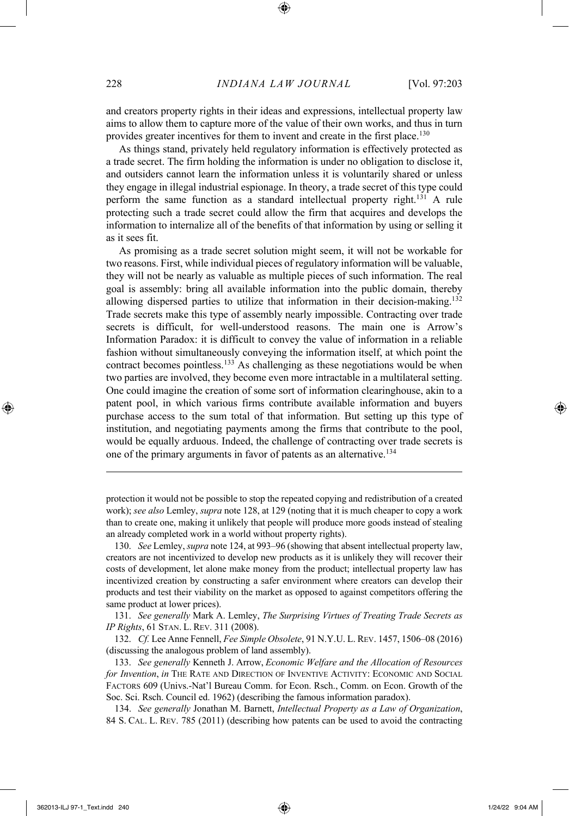and creators property rights in their ideas and expressions, intellectual property law aims to allow them to capture more of the value of their own works, and thus in turn provides greater incentives for them to invent and create in the first place.<sup>130</sup>

As things stand, privately held regulatory information is effectively protected as a trade secret. The firm holding the information is under no obligation to disclose it, and outsiders cannot learn the information unless it is voluntarily shared or unless they engage in illegal industrial espionage. In theory, a trade secret of this type could perform the same function as a standard intellectual property right.131 A rule protecting such a trade secret could allow the firm that acquires and develops the information to internalize all of the benefits of that information by using or selling it as it sees fit.

As promising as a trade secret solution might seem, it will not be workable for two reasons. First, while individual pieces of regulatory information will be valuable, they will not be nearly as valuable as multiple pieces of such information. The real goal is assembly: bring all available information into the public domain, thereby allowing dispersed parties to utilize that information in their decision-making.132 Trade secrets make this type of assembly nearly impossible. Contracting over trade secrets is difficult, for well-understood reasons. The main one is Arrow's Information Paradox: it is difficult to convey the value of information in a reliable fashion without simultaneously conveying the information itself, at which point the contract becomes pointless.<sup>133</sup> As challenging as these negotiations would be when two parties are involved, they become even more intractable in a multilateral setting. One could imagine the creation of some sort of information clearinghouse, akin to a patent pool, in which various firms contribute available information and buyers purchase access to the sum total of that information. But setting up this type of institution, and negotiating payments among the firms that contribute to the pool, would be equally arduous. Indeed, the challenge of contracting over trade secrets is one of the primary arguments in favor of patents as an alternative.134

130. *See* Lemley, *supra* note 124, at 993–96 (showing that absent intellectual property law, creators are not incentivized to develop new products as it is unlikely they will recover their costs of development, let alone make money from the product; intellectual property law has incentivized creation by constructing a safer environment where creators can develop their products and test their viability on the market as opposed to against competitors offering the same product at lower prices).

131. *See generally* Mark A. Lemley, *The Surprising Virtues of Treating Trade Secrets as IP Rights*, 61 STAN. L. REV. 311 (2008).

132. *Cf.* Lee Anne Fennell, *Fee Simple Obsolete*, 91 N.Y.U. L. REV. 1457, 1506–08 (2016) (discussing the analogous problem of land assembly).

133. *See generally* Kenneth J. Arrow, *Economic Welfare and the Allocation of Resources for Invention*, *in* THE RATE AND DIRECTION OF INVENTIVE ACTIVITY: ECONOMIC AND SOCIAL FACTORS 609 (Univs.-Nat'l Bureau Comm. for Econ. Rsch., Comm. on Econ. Growth of the Soc. Sci. Rsch. Council ed. 1962) (describing the famous information paradox).

134. *See generally* Jonathan M. Barnett, *Intellectual Property as a Law of Organization*, 84 S. CAL. L. REV. 785 (2011) (describing how patents can be used to avoid the contracting

protection it would not be possible to stop the repeated copying and redistribution of a created work); *see also* Lemley, *supra* note 128, at 129 (noting that it is much cheaper to copy a work than to create one, making it unlikely that people will produce more goods instead of stealing an already completed work in a world without property rights).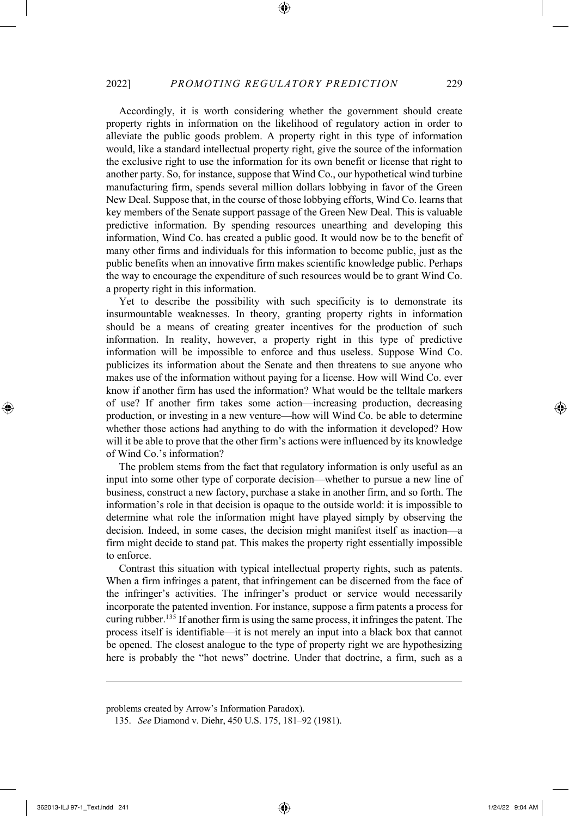Accordingly, it is worth considering whether the government should create property rights in information on the likelihood of regulatory action in order to alleviate the public goods problem. A property right in this type of information would, like a standard intellectual property right, give the source of the information the exclusive right to use the information for its own benefit or license that right to another party. So, for instance, suppose that Wind Co., our hypothetical wind turbine manufacturing firm, spends several million dollars lobbying in favor of the Green New Deal. Suppose that, in the course of those lobbying efforts, Wind Co. learns that key members of the Senate support passage of the Green New Deal. This is valuable predictive information. By spending resources unearthing and developing this information, Wind Co. has created a public good. It would now be to the benefit of many other firms and individuals for this information to become public, just as the public benefits when an innovative firm makes scientific knowledge public. Perhaps the way to encourage the expenditure of such resources would be to grant Wind Co. a property right in this information.

Yet to describe the possibility with such specificity is to demonstrate its insurmountable weaknesses. In theory, granting property rights in information should be a means of creating greater incentives for the production of such information. In reality, however, a property right in this type of predictive information will be impossible to enforce and thus useless. Suppose Wind Co. publicizes its information about the Senate and then threatens to sue anyone who makes use of the information without paying for a license. How will Wind Co. ever know if another firm has used the information? What would be the telltale markers of use? If another firm takes some action—increasing production, decreasing production, or investing in a new venture—how will Wind Co. be able to determine whether those actions had anything to do with the information it developed? How will it be able to prove that the other firm's actions were influenced by its knowledge of Wind Co.'s information?

The problem stems from the fact that regulatory information is only useful as an input into some other type of corporate decision—whether to pursue a new line of business, construct a new factory, purchase a stake in another firm, and so forth. The information's role in that decision is opaque to the outside world: it is impossible to determine what role the information might have played simply by observing the decision. Indeed, in some cases, the decision might manifest itself as inaction—a firm might decide to stand pat. This makes the property right essentially impossible to enforce.

Contrast this situation with typical intellectual property rights, such as patents. When a firm infringes a patent, that infringement can be discerned from the face of the infringer's activities. The infringer's product or service would necessarily incorporate the patented invention. For instance, suppose a firm patents a process for curing rubber.<sup>135</sup> If another firm is using the same process, it infringes the patent. The process itself is identifiable—it is not merely an input into a black box that cannot be opened. The closest analogue to the type of property right we are hypothesizing here is probably the "hot news" doctrine. Under that doctrine, a firm, such as a

problems created by Arrow's Information Paradox).

<sup>135.</sup> *See* Diamond v. Diehr, 450 U.S. 175, 181–92 (1981).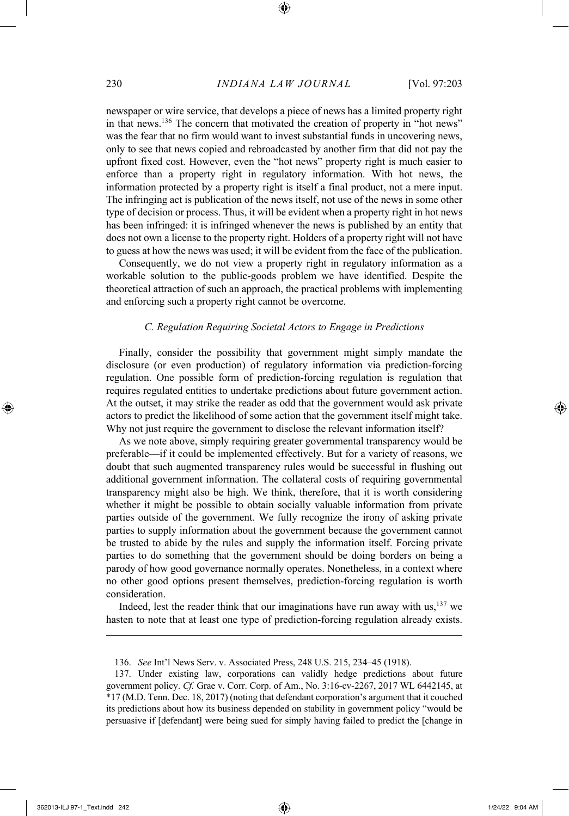newspaper or wire service, that develops a piece of news has a limited property right in that news.<sup>136</sup> The concern that motivated the creation of property in "hot news" was the fear that no firm would want to invest substantial funds in uncovering news, only to see that news copied and rebroadcasted by another firm that did not pay the upfront fixed cost. However, even the "hot news" property right is much easier to enforce than a property right in regulatory information. With hot news, the information protected by a property right is itself a final product, not a mere input. The infringing act is publication of the news itself, not use of the news in some other type of decision or process. Thus, it will be evident when a property right in hot news has been infringed: it is infringed whenever the news is published by an entity that does not own a license to the property right. Holders of a property right will not have to guess at how the news was used; it will be evident from the face of the publication.

Consequently, we do not view a property right in regulatory information as a workable solution to the public-goods problem we have identified. Despite the theoretical attraction of such an approach, the practical problems with implementing and enforcing such a property right cannot be overcome.

#### *C. Regulation Requiring Societal Actors to Engage in Predictions*

Finally, consider the possibility that government might simply mandate the disclosure (or even production) of regulatory information via prediction-forcing regulation. One possible form of prediction-forcing regulation is regulation that requires regulated entities to undertake predictions about future government action. At the outset, it may strike the reader as odd that the government would ask private actors to predict the likelihood of some action that the government itself might take. Why not just require the government to disclose the relevant information itself?

As we note above, simply requiring greater governmental transparency would be preferable—if it could be implemented effectively. But for a variety of reasons, we doubt that such augmented transparency rules would be successful in flushing out additional government information. The collateral costs of requiring governmental transparency might also be high. We think, therefore, that it is worth considering whether it might be possible to obtain socially valuable information from private parties outside of the government. We fully recognize the irony of asking private parties to supply information about the government because the government cannot be trusted to abide by the rules and supply the information itself. Forcing private parties to do something that the government should be doing borders on being a parody of how good governance normally operates. Nonetheless, in a context where no other good options present themselves, prediction-forcing regulation is worth consideration.

Indeed, lest the reader think that our imaginations have run away with us,137 we hasten to note that at least one type of prediction-forcing regulation already exists.

<sup>136.</sup> *See* Int'l News Serv. v. Associated Press, 248 U.S. 215, 234–45 (1918).

<sup>137.</sup> Under existing law, corporations can validly hedge predictions about future government policy. *Cf.* Grae v. Corr. Corp. of Am., No. 3:16-cv-2267, 2017 WL 6442145, at \*17 (M.D. Tenn. Dec. 18, 2017) (noting that defendant corporation's argument that it couched its predictions about how its business depended on stability in government policy "would be persuasive if [defendant] were being sued for simply having failed to predict the [change in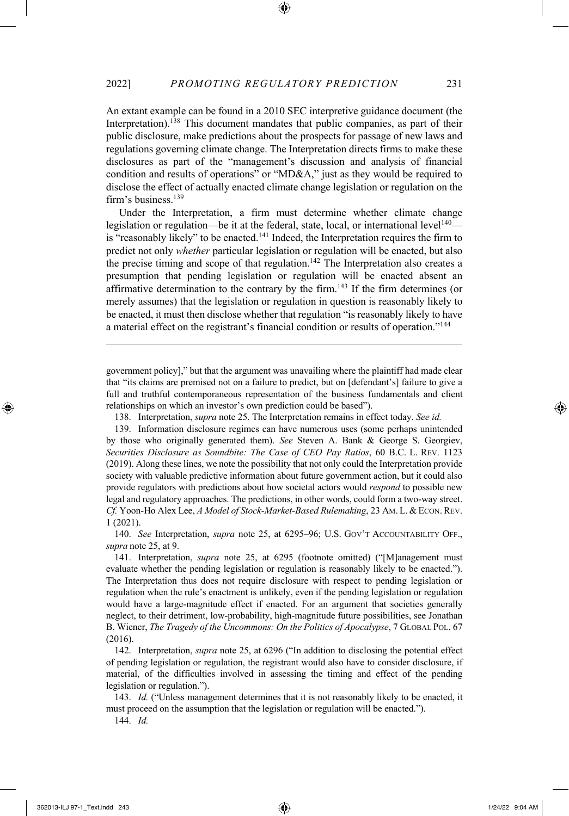An extant example can be found in a 2010 SEC interpretive guidance document (the Interpretation).<sup>138</sup> This document mandates that public companies, as part of their public disclosure, make predictions about the prospects for passage of new laws and regulations governing climate change. The Interpretation directs firms to make these disclosures as part of the "management's discussion and analysis of financial condition and results of operations" or "MD&A," just as they would be required to disclose the effect of actually enacted climate change legislation or regulation on the firm's business.<sup>139</sup>

Under the Interpretation, a firm must determine whether climate change legislation or regulation—be it at the federal, state, local, or international level<sup>140</sup> is "reasonably likely" to be enacted.<sup>141</sup> Indeed, the Interpretation requires the firm to predict not only *whether* particular legislation or regulation will be enacted, but also the precise timing and scope of that regulation.<sup>142</sup> The Interpretation also creates a presumption that pending legislation or regulation will be enacted absent an affirmative determination to the contrary by the firm.143 If the firm determines (or merely assumes) that the legislation or regulation in question is reasonably likely to be enacted, it must then disclose whether that regulation "is reasonably likely to have a material effect on the registrant's financial condition or results of operation."144

government policy]," but that the argument was unavailing where the plaintiff had made clear that "its claims are premised not on a failure to predict, but on [defendant's] failure to give a full and truthful contemporaneous representation of the business fundamentals and client relationships on which an investor's own prediction could be based").

138. Interpretation, *supra* note 25. The Interpretation remains in effect today. *See id.*

139. Information disclosure regimes can have numerous uses (some perhaps unintended by those who originally generated them). *See* Steven A. Bank & George S. Georgiev, *Securities Disclosure as Soundbite: The Case of CEO Pay Ratios*, 60 B.C. L. REV. 1123 (2019). Along these lines, we note the possibility that not only could the Interpretation provide society with valuable predictive information about future government action, but it could also provide regulators with predictions about how societal actors would *respond* to possible new legal and regulatory approaches. The predictions, in other words, could form a two-way street. *Cf.* Yoon-Ho Alex Lee, *A Model of Stock-Market-Based Rulemaking*, 23 AM. L. &ECON.REV. 1 (2021).

140. *See* Interpretation, *supra* note 25, at 6295–96; U.S. GOV'T ACCOUNTABILITY OFF., *supra* note 25, at 9.

141. Interpretation, *supra* note 25, at 6295 (footnote omitted) ("[M]anagement must evaluate whether the pending legislation or regulation is reasonably likely to be enacted."). The Interpretation thus does not require disclosure with respect to pending legislation or regulation when the rule's enactment is unlikely, even if the pending legislation or regulation would have a large-magnitude effect if enacted. For an argument that societies generally neglect, to their detriment, low-probability, high-magnitude future possibilities, see Jonathan B. Wiener, *The Tragedy of the Uncommons: On the Politics of Apocalypse*, 7 GLOBAL POL. 67 (2016).

142. Interpretation, *supra* note 25, at 6296 ("In addition to disclosing the potential effect of pending legislation or regulation, the registrant would also have to consider disclosure, if material, of the difficulties involved in assessing the timing and effect of the pending legislation or regulation.").

143. *Id.* ("Unless management determines that it is not reasonably likely to be enacted, it must proceed on the assumption that the legislation or regulation will be enacted.").

144. *Id.*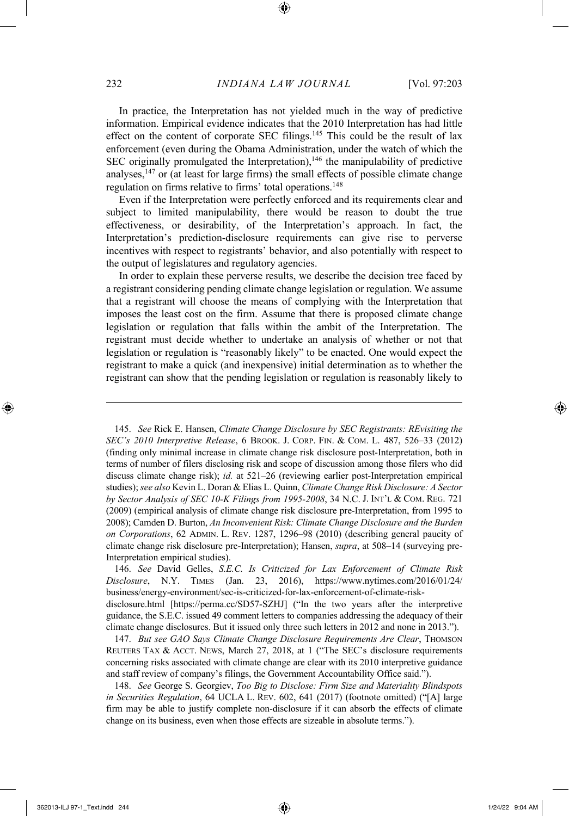In practice, the Interpretation has not yielded much in the way of predictive information. Empirical evidence indicates that the 2010 Interpretation has had little effect on the content of corporate SEC filings.<sup>145</sup> This could be the result of lax enforcement (even during the Obama Administration, under the watch of which the SEC originally promulgated the Interpretation), $146$  the manipulability of predictive analyses, $147$  or (at least for large firms) the small effects of possible climate change regulation on firms relative to firms' total operations.<sup>148</sup>

Even if the Interpretation were perfectly enforced and its requirements clear and subject to limited manipulability, there would be reason to doubt the true effectiveness, or desirability, of the Interpretation's approach. In fact, the Interpretation's prediction-disclosure requirements can give rise to perverse incentives with respect to registrants' behavior, and also potentially with respect to the output of legislatures and regulatory agencies.

In order to explain these perverse results, we describe the decision tree faced by a registrant considering pending climate change legislation or regulation. We assume that a registrant will choose the means of complying with the Interpretation that imposes the least cost on the firm. Assume that there is proposed climate change legislation or regulation that falls within the ambit of the Interpretation. The registrant must decide whether to undertake an analysis of whether or not that legislation or regulation is "reasonably likely" to be enacted. One would expect the registrant to make a quick (and inexpensive) initial determination as to whether the registrant can show that the pending legislation or regulation is reasonably likely to

145. *See* Rick E. Hansen, *Climate Change Disclosure by SEC Registrants: REvisiting the SEC's 2010 Interpretive Release*, 6 BROOK. J. CORP. FIN. & COM. L. 487, 526–33 (2012) (finding only minimal increase in climate change risk disclosure post-Interpretation, both in terms of number of filers disclosing risk and scope of discussion among those filers who did discuss climate change risk); *id.* at 521–26 (reviewing earlier post-Interpretation empirical studies);*see also* Kevin L. Doran & Elias L. Quinn, *Climate Change Risk Disclosure: A Sector by Sector Analysis of SEC 10-K Filings from 1995-2008*, 34 N.C. J. INT'L & COM. REG. 721 (2009) (empirical analysis of climate change risk disclosure pre-Interpretation, from 1995 to 2008); Camden D. Burton, *An Inconvenient Risk: Climate Change Disclosure and the Burden on Corporations*, 62 ADMIN. L. REV. 1287, 1296–98 (2010) (describing general paucity of climate change risk disclosure pre-Interpretation); Hansen, *supra*, at 508–14 (surveying pre-Interpretation empirical studies).

146. *See* David Gelles, *S.E.C. Is Criticized for Lax Enforcement of Climate Risk Disclosure*, N.Y. TIMES (Jan. 23, 2016), https://www.nytimes.com/2016/01/24/ business/energy-environment/sec-is-criticized-for-lax-enforcement-of-climate-riskdisclosure.html [https://perma.cc/SD57-SZHJ] ("In the two years after the interpretive guidance, the S.E.C. issued 49 comment letters to companies addressing the adequacy of their climate change disclosures. But it issued only three such letters in 2012 and none in 2013.").

147. *But see GAO Says Climate Change Disclosure Requirements Are Clear*, THOMSON REUTERS TAX & ACCT. NEWS, March 27, 2018, at 1 ("The SEC's disclosure requirements concerning risks associated with climate change are clear with its 2010 interpretive guidance and staff review of company's filings, the Government Accountability Office said.").

148. *See* George S. Georgiev, *Too Big to Disclose: Firm Size and Materiality Blindspots in Securities Regulation*, 64 UCLA L. REV. 602, 641 (2017) (footnote omitted) ("[A] large firm may be able to justify complete non-disclosure if it can absorb the effects of climate change on its business, even when those effects are sizeable in absolute terms.").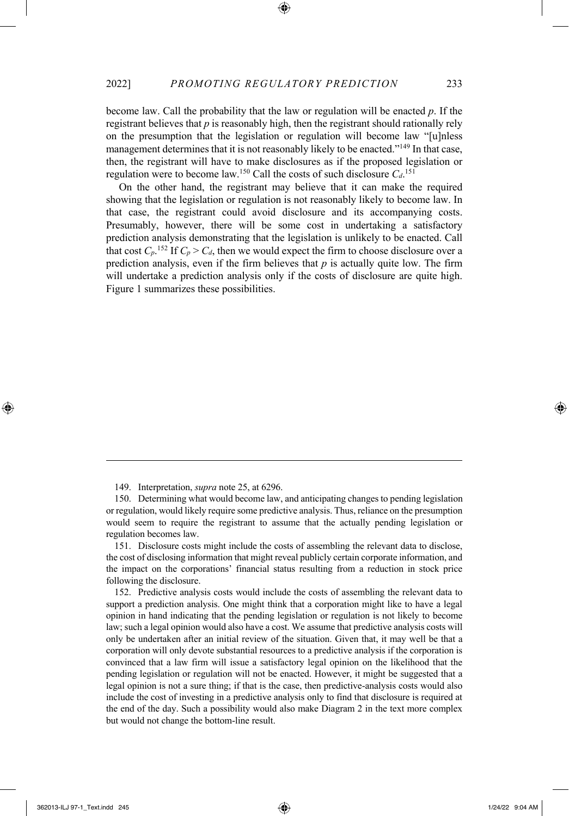become law. Call the probability that the law or regulation will be enacted *p*. If the registrant believes that *p* is reasonably high, then the registrant should rationally rely on the presumption that the legislation or regulation will become law "[u]nless management determines that it is not reasonably likely to be enacted."<sup>149</sup> In that case, then, the registrant will have to make disclosures as if the proposed legislation or regulation were to become law.<sup>150</sup> Call the costs of such disclosure  $C_d$ .<sup>151</sup>

On the other hand, the registrant may believe that it can make the required showing that the legislation or regulation is not reasonably likely to become law. In that case, the registrant could avoid disclosure and its accompanying costs. Presumably, however, there will be some cost in undertaking a satisfactory prediction analysis demonstrating that the legislation is unlikely to be enacted. Call that cost  $C_p$ .<sup>152</sup> If  $C_p > C_d$ , then we would expect the firm to choose disclosure over a prediction analysis, even if the firm believes that *p* is actually quite low. The firm will undertake a prediction analysis only if the costs of disclosure are quite high. Figure 1 summarizes these possibilities.

<sup>149.</sup> Interpretation, *supra* note 25, at 6296.

<sup>150.</sup> Determining what would become law, and anticipating changes to pending legislation or regulation, would likely require some predictive analysis. Thus, reliance on the presumption would seem to require the registrant to assume that the actually pending legislation or regulation becomes law.

<sup>151.</sup> Disclosure costs might include the costs of assembling the relevant data to disclose, the cost of disclosing information that might reveal publicly certain corporate information, and the impact on the corporations' financial status resulting from a reduction in stock price following the disclosure.

<sup>152.</sup> Predictive analysis costs would include the costs of assembling the relevant data to support a prediction analysis. One might think that a corporation might like to have a legal opinion in hand indicating that the pending legislation or regulation is not likely to become law; such a legal opinion would also have a cost. We assume that predictive analysis costs will only be undertaken after an initial review of the situation. Given that, it may well be that a corporation will only devote substantial resources to a predictive analysis if the corporation is convinced that a law firm will issue a satisfactory legal opinion on the likelihood that the pending legislation or regulation will not be enacted. However, it might be suggested that a legal opinion is not a sure thing; if that is the case, then predictive-analysis costs would also include the cost of investing in a predictive analysis only to find that disclosure is required at the end of the day. Such a possibility would also make Diagram 2 in the text more complex but would not change the bottom-line result.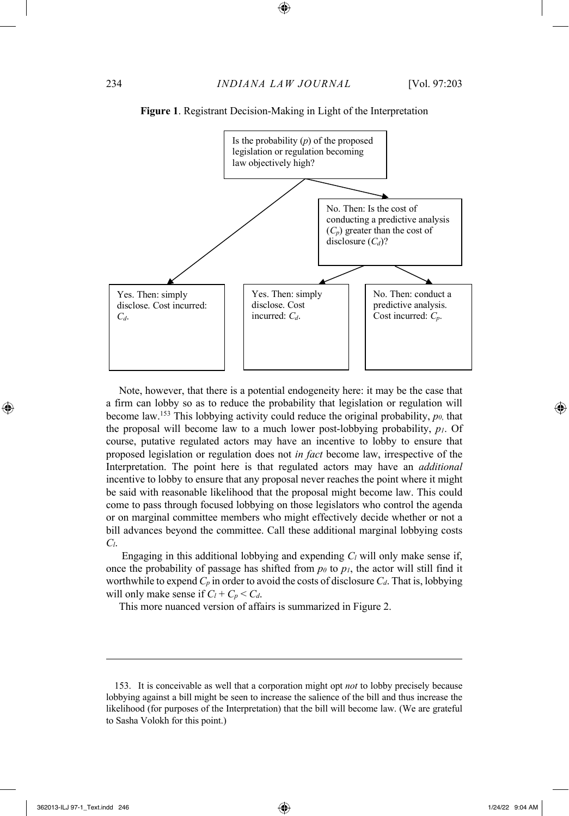

**Figure 1**. Registrant Decision-Making in Light of the Interpretation

Note, however, that there is a potential endogeneity here: it may be the case that a firm can lobby so as to reduce the probability that legislation or regulation will become law.<sup>153</sup> This lobbying activity could reduce the original probability,  $p_0$ , that the proposal will become law to a much lower post-lobbying probability,  $p_l$ . Of course, putative regulated actors may have an incentive to lobby to ensure that proposed legislation or regulation does not *in fact* become law, irrespective of the Interpretation. The point here is that regulated actors may have an *additional* incentive to lobby to ensure that any proposal never reaches the point where it might be said with reasonable likelihood that the proposal might become law. This could come to pass through focused lobbying on those legislators who control the agenda or on marginal committee members who might effectively decide whether or not a bill advances beyond the committee. Call these additional marginal lobbying costs *Cl*.

Engaging in this additional lobbying and expending *Cl* will only make sense if, once the probability of passage has shifted from  $p_0$  to  $p_1$ , the actor will still find it worthwhile to expend  $C_p$  in order to avoid the costs of disclosure  $C_d$ . That is, lobbying will only make sense if  $C_l + C_p < C_d$ .

This more nuanced version of affairs is summarized in Figure 2.

<sup>153.</sup> It is conceivable as well that a corporation might opt *not* to lobby precisely because lobbying against a bill might be seen to increase the salience of the bill and thus increase the likelihood (for purposes of the Interpretation) that the bill will become law. (We are grateful to Sasha Volokh for this point.)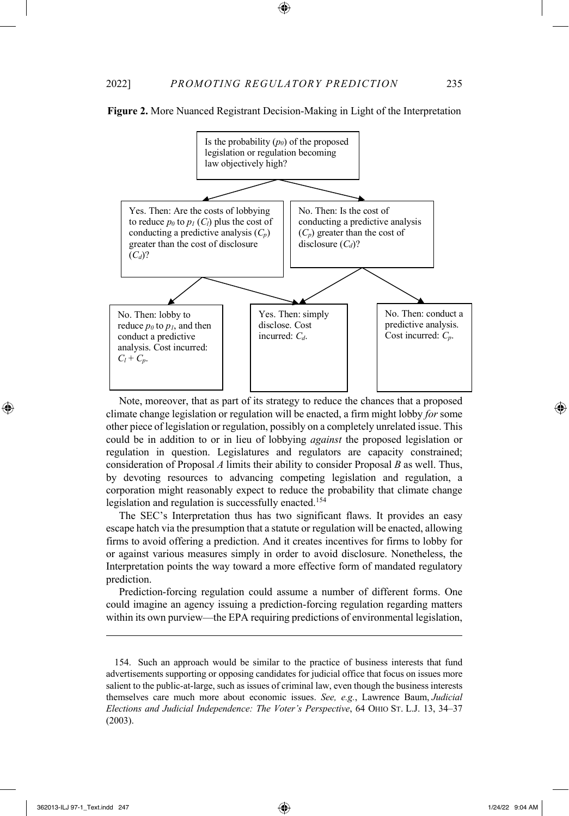

**Figure 2.** More Nuanced Registrant Decision-Making in Light of the Interpretation

Note, moreover, that as part of its strategy to reduce the chances that a proposed climate change legislation or regulation will be enacted, a firm might lobby *for* some other piece of legislation or regulation, possibly on a completely unrelated issue. This could be in addition to or in lieu of lobbying *against* the proposed legislation or regulation in question. Legislatures and regulators are capacity constrained; consideration of Proposal *A* limits their ability to consider Proposal *B* as well. Thus, by devoting resources to advancing competing legislation and regulation, a corporation might reasonably expect to reduce the probability that climate change legislation and regulation is successfully enacted.<sup>154</sup>

The SEC's Interpretation thus has two significant flaws. It provides an easy escape hatch via the presumption that a statute or regulation will be enacted, allowing firms to avoid offering a prediction. And it creates incentives for firms to lobby for or against various measures simply in order to avoid disclosure. Nonetheless, the Interpretation points the way toward a more effective form of mandated regulatory prediction.

Prediction-forcing regulation could assume a number of different forms. One could imagine an agency issuing a prediction-forcing regulation regarding matters within its own purview—the EPA requiring predictions of environmental legislation,

<sup>154.</sup> Such an approach would be similar to the practice of business interests that fund advertisements supporting or opposing candidates for judicial office that focus on issues more salient to the public-at-large, such as issues of criminal law, even though the business interests themselves care much more about economic issues. *See, e.g.*, Lawrence Baum, *Judicial Elections and Judicial Independence: The Voter's Perspective*, 64 OHIO ST. L.J. 13, 34–37 (2003).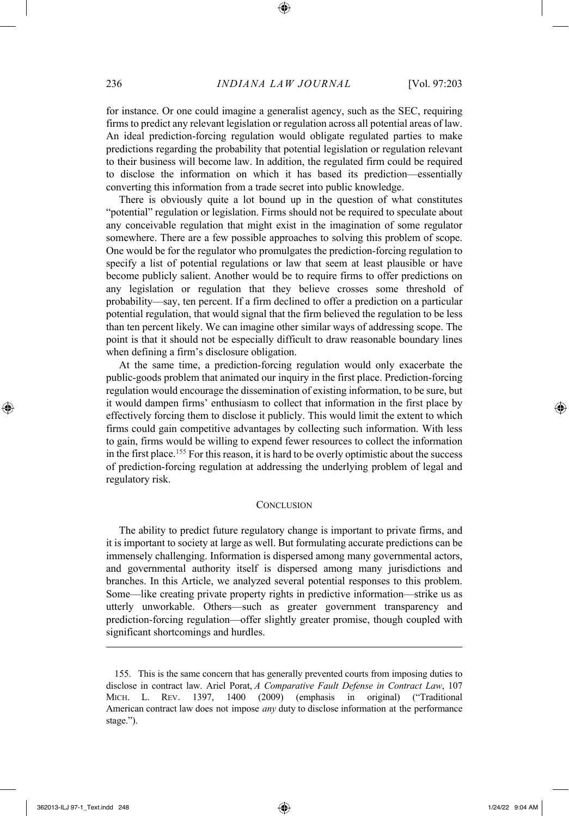for instance. Or one could imagine a generalist agency, such as the SEC, requiring firms to predict any relevant legislation or regulation across all potential areas of law. An ideal prediction-forcing regulation would obligate regulated parties to make predictions regarding the probability that potential legislation or regulation relevant to their business will become law. In addition, the regulated firm could be required to disclose the information on which it has based its prediction—essentially converting this information from a trade secret into public knowledge.

There is obviously quite a lot bound up in the question of what constitutes "potential" regulation or legislation. Firms should not be required to speculate about any conceivable regulation that might exist in the imagination of some regulator somewhere. There are a few possible approaches to solving this problem of scope. One would be for the regulator who promulgates the prediction-forcing regulation to specify a list of potential regulations or law that seem at least plausible or have become publicly salient. Another would be to require firms to offer predictions on any legislation or regulation that they believe crosses some threshold of probability—say, ten percent. If a firm declined to offer a prediction on a particular potential regulation, that would signal that the firm believed the regulation to be less than ten percent likely. We can imagine other similar ways of addressing scope. The point is that it should not be especially difficult to draw reasonable boundary lines when defining a firm's disclosure obligation.

At the same time, a prediction-forcing regulation would only exacerbate the public-goods problem that animated our inquiry in the first place. Prediction-forcing regulation would encourage the dissemination of existing information, to be sure, but it would dampen firms' enthusiasm to collect that information in the first place by effectively forcing them to disclose it publicly. This would limit the extent to which firms could gain competitive advantages by collecting such information. With less to gain, firms would be willing to expend fewer resources to collect the information in the first place.155 For this reason, it is hard to be overly optimistic about the success of prediction-forcing regulation at addressing the underlying problem of legal and regulatory risk.

#### **CONCLUSION**

The ability to predict future regulatory change is important to private firms, and it is important to society at large as well. But formulating accurate predictions can be immensely challenging. Information is dispersed among many governmental actors, and governmental authority itself is dispersed among many jurisdictions and branches. In this Article, we analyzed several potential responses to this problem. Some—like creating private property rights in predictive information—strike us as utterly unworkable. Others—such as greater government transparency and prediction-forcing regulation—offer slightly greater promise, though coupled with significant shortcomings and hurdles.

<sup>155.</sup> This is the same concern that has generally prevented courts from imposing duties to disclose in contract law. Ariel Porat, *A Comparative Fault Defense in Contract Law*, 107 MICH. L. REV. 1397, 1400 (2009) (emphasis in original) ("Traditional American contract law does not impose *any* duty to disclose information at the performance stage.").